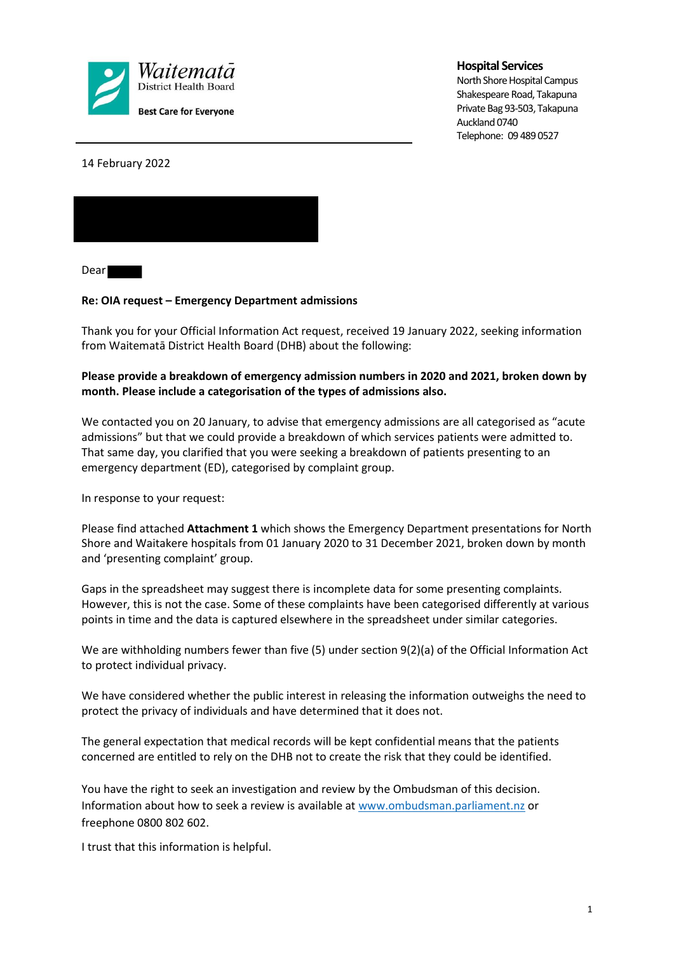

#### **Hospital Services**

North Shore Hospital Campus Shakespeare Road, Takapuna Private Bag 93-503, Takapuna Auckland 0740 Telephone: 09 489 0527

14 February 2022



Dear

#### **Re: OIA request – Emergency Department admissions**

Thank you for your Official Information Act request, received 19 January 2022, seeking information from Waitematā District Health Board (DHB) about the following:

#### **Please provide a breakdown of emergency admission numbers in 2020 and 2021, broken down by month. Please include a categorisation of the types of admissions also.**

We contacted you on 20 January, to advise that emergency admissions are all categorised as "acute admissions" but that we could provide a breakdown of which services patients were admitted to. That same day, you clarified that you were seeking a breakdown of patients presenting to an emergency department (ED), categorised by complaint group.

In response to your request:

Please find attached **Attachment 1** which shows the Emergency Department presentations for North Shore and Waitakere hospitals from 01 January 2020 to 31 December 2021, broken down by month and 'presenting complaint' group.

Gaps in the spreadsheet may suggest there is incomplete data for some presenting complaints. However, this is not the case. Some of these complaints have been categorised differently at various points in time and the data is captured elsewhere in the spreadsheet under similar categories.

We are withholding numbers fewer than five (5) under section 9(2)(a) of the Official Information Act to protect individual privacy.

We have considered whether the public interest in releasing the information outweighs the need to protect the privacy of individuals and have determined that it does not.

The general expectation that medical records will be kept confidential means that the patients concerned are entitled to rely on the DHB not to create the risk that they could be identified.

You have the right to seek an investigation and review by the Ombudsman of this decision. Information about how to seek a review is available at www.ombudsman.parliament.nz or freephone 0800 802 602.

I trust that this information is helpful.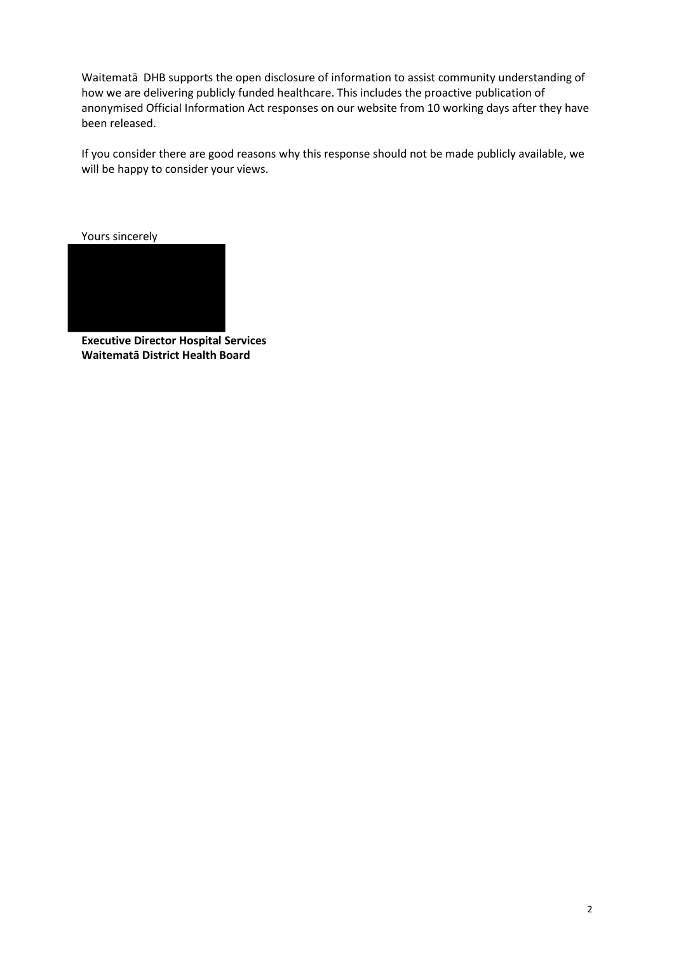Waitematā DHB supports the open disclosure of information to assist community understanding of how we are delivering publicly funded healthcare. This includes the proactive publication of anonymised Official Information Act responses on our website from 10 working days after they have been released.

If you consider there are good reasons why this response should not be made publicly available, we will be happy to consider your views.

Yours sincerely



**Executive Director Hospital Services Waitematā District Health Board**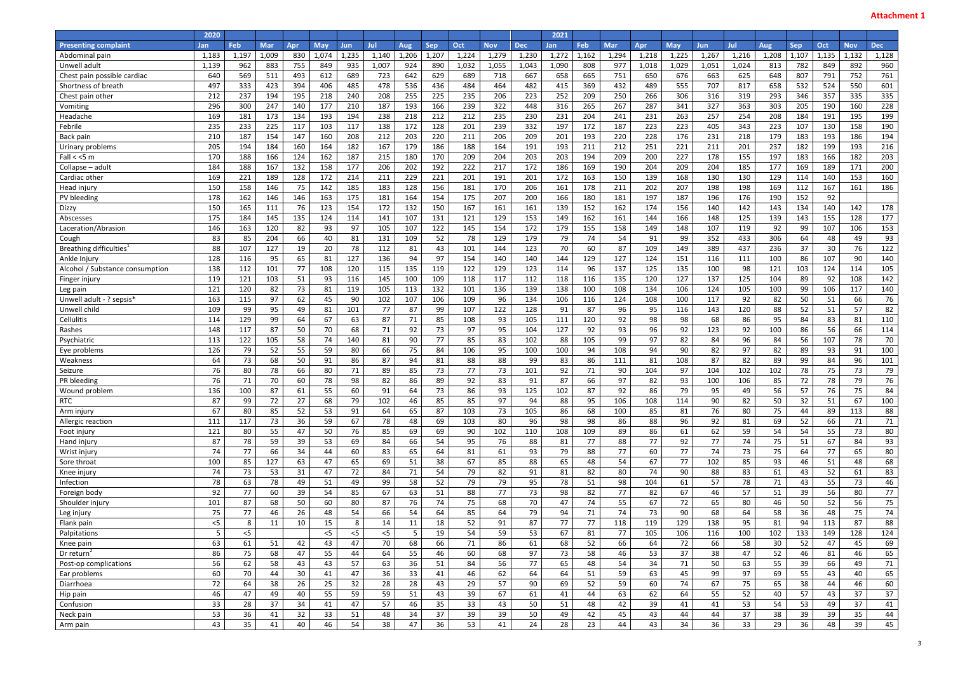|                                 | 2020  |            |            |     |            |            |       |                |            |            |            |            | 2021  |            |            |       |            |            |       |                 |            |       |            |            |
|---------------------------------|-------|------------|------------|-----|------------|------------|-------|----------------|------------|------------|------------|------------|-------|------------|------------|-------|------------|------------|-------|-----------------|------------|-------|------------|------------|
| <b>Presenting complaint</b>     | Jan   | <b>Feb</b> | <b>Mar</b> | Apr | <b>May</b> | <b>Jun</b> | Jul   | Aug            | <b>Sep</b> | <b>Oct</b> | <b>Nov</b> | <b>Dec</b> | Jan   | <b>Feb</b> | <b>Mar</b> | Apr   | <b>May</b> | <b>Jun</b> | Jul   | <b>Aug</b>      | <b>Sep</b> | Oct   | <b>Nov</b> | <b>Dec</b> |
| Abdominal pain                  | 1,183 | 1,197      | 1,009      | 830 | 1,074      | 1,235      | 1,140 | 1,206          | 1,207      | 1,224      | 1,279      | 1,230      | 1,272 | 1,162      | 1,294      | 1,218 | 1,225      | 1,267      | 1,216 | 1,208           | 1,107      | 1,135 | 1,132      | 1,128      |
| Unwell adult                    | 1,139 | 962        | 883        | 755 | 849        | 935        | 1,007 | 924            | 890        | 1,032      | 1,055      | 1,043      | 1,090 | 808        | 977        | 1,018 | 1,029      | 1,051      | 1,024 | 813             | 782        | 849   | 892        | 960        |
| Chest pain possible cardiac     | 640   | 569        | 511        | 493 | 612        | 689        | 723   | 642            | 629        | 689        | 718        | 667        | 658   | 665        | 751        | 650   | 676        | 663        | 625   | 648             | 807        | 791   | 752        | 761        |
| Shortness of breath             | 497   | 333        | 423        | 394 | 406        | 485        | 478   | 536            | 436        | 484        | 464        | 482        | 415   | 369        | 432        | 489   | 555        | 707        | 817   | 658             | 532        | 524   | 550        | 601        |
| Chest pain other                | 212   | 237        | 194        | 195 | 218        | 240        | 208   | 255            | 225        | 235        | 206        | 223        | 252   | 209        | 250        | 266   | 306        | 316        | 319   | 293             | 346        | 357   | 335        | 335        |
| Vomiting                        | 296   | 300        | 247        | 140 | 177        | 210        | 187   | 193            | 166        | 239        | 322        | 448        | 316   | 265        | 267        | 287   | 341        | 327        | 363   | 303             | 205        | 190   | 160        | 228        |
| Headache                        | 169   | 181        | 173        | 134 | 193        | 194        | 238   | 218            | 212        | 212        | 235        | 230        | 231   | 204        | 241        | 231   | 263        | 257        | 254   | 208             | 184        | 191   | 195        | 199        |
| Febrile                         | 235   | 233        | 225        | 117 | 103        | 117        | 138   | 172            | 128        | 201        | 239        | 332        | 197   | 172        | 187        | 223   | 223        | 405        | 343   | 223             | 107        | 130   | 158        | 190        |
| Back pair                       | 210   | 187        | 154        | 147 | 160        | 208        | 212   | 203            | 220        | 211        | 206        | 209        | 201   | 193        | 220        | 228   | 176        | 231        | 218   | 179             | 183        | 193   | 186        | 194        |
| Urinary problems                | 205   | 194        | 184        | 160 | 164        | 182        | 167   | 179            | 186        | 188        | 164        | 191        | 193   | 211        | 212        | 251   | 221        | 211        | 201   | 237             | 182        | 199   | 193        | 216        |
| Fall $<$ <5 m                   | 170   | 188        | 166        | 124 | 162        | 187        | 215   | 180            | 170        | 209        | 204        | 203        | 203   | 194        | 209        | 200   | 227        | 178        | 155   | 197             | 183        | 166   | 182        | 203        |
| Collapse - adult                | 184   | 188        | 167        | 132 | 158        | 177        | 206   | 202            | 192        | 222        | 217        | 172        | 186   | 169        | 190        | 204   | 209        | 204        | 185   | 177             | 169        | 189   | 171        | 200        |
| Cardiac other                   | 169   | 221        | 189        | 128 | 172        | 214        | 211   | 229            | 221        | 201        | 191        | 201        | 172   | 163        | 150        | 139   | 168        | 130        | 130   | 129             | 114        | 140   | 153        | 160        |
| Head injury                     | 150   | 158        | 146        | 75  | 142        | 185        | 183   | 128            | 156        | 181        | 170        | 206        | 161   | 178        | 211        | 202   | 207        | 198        | 198   | 169             | 112        | 167   | 161        | 186        |
| PV bleeding                     | 178   | 162        | 146        | 146 | 163        | 175        | 181   | 164            | 154        | 175        | 207        | 200        | 166   | 180        | 181        | 197   | 187        | 196        | 176   | 190             | 152        | 92    |            |            |
| Dizzy                           | 150   | 165        | 111        | 76  | 123        | 154        | 172   | 132            | 150        | 167        | 161        | 161        | 139   | 152        | 162        | 174   | 156        | 140        | 142   | 143             | 134        | 140   | 142        | 178        |
| Abscesses                       | 175   | 184        | 145        | 135 | 124        | 114        | 141   | 107            | 131        | 121        | 129        | 153        | 149   | 162        | 161        | 144   | 166        | 148        | 125   | 139             | 143        | 155   | 128        | 177        |
| Laceration/Abrasion             | 146   | 163        | 120        | 82  | 93         | 97         | 105   | 107            | 122        | 145        | 154        | 172        | 179   | 155        | 158        | 149   | 148        | 107        | 119   | 92              | 99         | 107   | 106        | 153        |
| Cough                           | 83    | 85         | 204        | 66  | 40         | 81         | 131   | 109            | 52         | 78         | 129        | 179        | 79    | 74         | 54         | 91    | 99         | 352        | 433   | 306             | 64         | 48    | 49         | 93         |
| Breathing difficulties          | 88    | 107        | 127        | 19  | 20         | 78         | 112   | 81             | 43         | 101        | 144        | 123        | 70    | 60         | 87         | 109   | 149        | 389        | 437   | 236             | 37         | 30    | 76         | 122        |
| Ankle Injury                    | 128   | 116        | 95         | 65  | 81         | 127        | 136   | 94             | 97         | 154        | 140        | 140        | 144   | 129        | 127        | 124   | 151        | 116        | 111   | 100             | 86         | 107   | 90         | 140        |
| Alcohol / Substance consumption | 138   | 112        | 101        | 77  | 108        | 120        | 115   | 135            | 119        | 122        | 129        | 123        | 114   | 96         | 137        | 125   | 135        | 100        | 98    | 121             | 103        | 124   | 114        | 105        |
| Finger injury                   | 119   | 121        | 103        | 51  | 93         | 116        | 145   | 100            | 109        | 118        | 117        | 112        | 118   | 116        | 135        | 120   | 127        | 137        | 125   | 104             | 89         | 92    | 108        | 142        |
| Leg pain                        | 121   | 120        | 82         | 73  | 81         | 119        | 105   | 113            | 132        | 101        | 136        | 139        | 138   | 100        | 108        | 134   | 106        | 124        | 105   | 100             | 99         | 106   | 117        | 140        |
| Unwell adult - ? sepsis*        | 163   | 115        | 97         | 62  | 45         | 90         | 102   | 107            | 106        | 109        | 96         | 134        | 106   | 116        | 124        | 108   | 100        | 117        | 92    | 82              | 50         | 51    | 66         | 76         |
| Unwell child                    | 109   | 99         | 95         | 49  | 81         | 101        | 77    | 87             | 99         | 107        | 122        | 128        | 91    | 87         | 96         | 95    | 116        | 143        | 120   | 88              | 52         | 51    | 57         | 82         |
| Cellulitis                      | 114   | 129        | 99         | 64  | 67         | 63         | 87    | 71             | 85         | 108        | 93         | 105        | 111   | 120        | 92         | 98    | 98         | 68         | 86    | 95              | 84         | 83    | 81         | 110        |
| Rashes                          | 148   | 117        | 87         | 50  | 70         | 68         | 71    | 92             | 73         | 97         | 95         | 104        | 127   | 92         | 93         | 96    | 92         | 123        | 92    | 100             | 86         | 56    | 66         | 114        |
| Psychiatric                     | 113   | 122        | 105        | 58  | 74         | 140        | 81    | 90             | 77         | 85         | 83         | 102        | 88    | 105        | 99         | 97    | 82         | 84         | 96    | 84              | 56         | 107   | 78         | 70         |
| Eye problems                    | 126   | 79         | 52         | 55  | 59         | 80         | 66    | 75             | 84         | 106        | 95         | 100        | 100   | 94         | 108        | 94    | 90         | 82         | 97    | 82              | 89         | 93    | 91         | 100        |
| Weakness                        | 64    | 73         | 68         | 50  | 91         | 86         | 87    | 94             | 81         | 88         | 88         | 99         | 83    | 86         | 111        | 81    | 108        | 87         | 82    | 89              | 99         | 84    | 96         | 101        |
| Seizure                         | 76    | 80         | 78         | 66  | 80         | 71         | 89    | 85             | 73         | 77         | 73         | 101        | 92    | 71         | 90         | 104   | 97         | 104        | 102   | 102             | 78         | 75    | 73         | 79         |
| PR bleeding                     | 76    | 71         | 70         | 60  | 78         | 98         | 82    | 86             | 89         | 92         | 83         | 91         | 87    | 66         | 97         | 82    | 93         | 100        | 106   | 85              | 72         | 78    | 79         | 76         |
| Wound problem                   | 136   | 100        | 87         | 61  | 55         | 60         | 91    | 64             | 73         | 86         | 93         | 125        | 102   | 87         | 92         | 86    | 79         | 95         | 49    | 56              | 57         | 76    | 75         | 84         |
| <b>RTC</b>                      | 87    | 99         | 72         | 27  | 68         | 79         | 102   | 46             | 85         | 85         | 97         | 94         | 88    | 95         | 106        | 108   | 114        | 90         | 82    | 50              | 32         | 51    | 67         | 100        |
| Arm injury                      | 67    | 80         | 85         | 52  | 53         | 91         | 64    | 65             | 87         | 103        | 73         | 105        | 86    | 68         | 100        | 85    | 81         | 76         | 80    | 75              | 44         | 89    | 113        | 88         |
| Allergic reaction               | 111   | 117        | 73         | 36  | 59         | 67         | 78    | 48             | 69         | 103        | 80         | 96         | 98    | 98         | 86         | 88    | 96         | 92         | 81    | 69              | 52         | 66    | 71         | 71         |
| Foot injury                     | 121   | 80         | 55         | 47  | 50         | 76         | 85    | 69             | 69         | 90         | 102        | 110        | 108   | 109        | 89         | 86    | 61         | 62         | 59    | 54              | 54         | 55    | 73         | 80         |
| Hand injury                     | 87    | 78         | 59         | 39  | 53         | 69         | 84    | 66             | 54         | 95         | 76         | 88         | 81    | 77         | 88         | 77    | 92         | 77         | 74    | 75              | 51         | 67    | 84         | 93         |
| Wrist injury                    | 74    | 77         | 66         | 34  | 44         | 60         | 83    | 65             | 64         | 81         | 61         | 93         | 79    | 88         | 77         | 60    | 77         | 74         | 73    | 75              | 64         | 77    | 65         | 80         |
| Sore throat                     | 100   | 85         | 127        | 63  | 47         | 65         | 69    | 51             | 38         | 67         | 85         | 88         | 65    | 48         | 54         | 67    | 77         | 102        | 85    | 93              | 46         | 51    | 48         | 68         |
| Knee injury                     | 74    | 73         | 53         | 31  | 47         | 72         | 84    | 71             | 54         | 79         | 82         | 91         | 81    | 82         | 80         | 74    | 90         | 88         | 83    | 61              | 43         | 52    | 61         | 83         |
| Infection                       | 78    | 63         | 78         | 49  | 51         | 49         | 99    | 58             | 52         | 79         | 79         | 95         | 78    | 51         | 98         | 104   | 61         | 57         | 78    | 71              | 43         | 55    | 73         | 46         |
| Foreign body                    | 92    | 77         | 60         | 39  | 54         | 85         | 67    | 63             | 51         | 88         | 77         | 73         | 98    | 82         | 77         | 82    | 67         | 46         | 57    | 51              | 39         | 56    | 80         | 77         |
| Shoulder injury                 | 101   | 87         | 68         | 50  | 60         | 80         | 87    | 76             | 74         | 75         | 68         | 70         | 47    | 74         | 55         | 67    | 72         | 65         | 80    | 46              | 50         | 52    | 56         | 75         |
| Leg injury                      | 75    | 77         | 46         | 26  | 48         | 54         | 66    | 54             | 64         | 85         | 64         | 79         | 94    | 71         | 74         | 73    | 90         | 68         | 64    | 58              | 36         | 48    | 75         | 74         |
| Flank pain                      | $<$ 5 | 8          | 11         | 10  | 15         | 8          | 14    | 11             | 18         | 52         | 91         | 87         | 77    | 77         | 118        | 119   | 129        | 138        | 95    | 81              | 94         | 113   | 87         | 88         |
| Palpitations                    | 5     | $<$ 5      |            |     | $<$ 5      | $<$ 5      | $<$ 5 | 5 <sub>1</sub> | 19         | 54         | 59         | 53         | 67    | 81         | 77         | 105   | 106        | 116        | 100   | 102             | 133        | 149   | 128        | 124        |
| Knee pain                       | 63    | 61         | 51         | 42  | 43         | 47         | 70    | 68             | 66         | 71         | 86         | 61         | 68    | 52         | 66         | 64    | 72         | 66         | 58    | 30 <sup>°</sup> | 52         | 47    | 45         | 69         |
| Dr return                       | 86    | 75         | 68         | 47  | 55         | 44         | 64    | 55             | 46         | 60         | 68         | 97         | 73    | 58         | 46         | 53    | 37         | 38         | 47    | 52              | 46         | 81    | 46         | 65         |
| Post-op complications           | 56    | 62         | 58         | 43  | 43         | 57         | 63    | 36             | 51         | 84         | 56         | 77         | 65    | 48         | 54         | 34    | 71         | 50         | 63    | 55              | 39         | 66    | 49         | 71         |
| Ear problems                    | 60    | 70         | 44         | 30  | 41         | 47         | 36    | 33             | 41         | 46         | 62         | 64         | 64    | 51         | 59         | 63    | 45         | 99         | 97    | 69              | 55         | 43    | 40         | 65         |
| Diarrhoea                       | 72    | 64         | 38         | 26  | 25         | 32         | 28    | 28             | 43         | 29         | 57         | 90         | 69    | 52         | 59         | 60    | 74         | 67         | 75    | 65              | 38         | 44    | 46         | 60         |
| Hip pain                        | 46    | 47         | 49         | 40  | 55         | 59         | 59    | 51             | 43         | 39         | 67         | 61         | 41    | 44         | 63         | 62    | 64         | 55         | 52    | 40              | 57         | 43    | 37         | 37         |
| Confusion                       | 33    | 28         | 37         | 34  | 41         | 47         | 57    | 46             | 35         | 33         | 43         | 50         | 51    | 48         | 42         | 39    | 41         | 41         | 53    | 54              | 53         | 49    | 37         | 41         |
| Neck pain                       | 53    | 36         | 41         | 32  | 33         | 51         | 48    | 34             | 37         | 39         | 39         | 50         | 49    | 42         | 45         | 43    | 44         | 44         | 37    | 38              | 39         | 39    | 35         | 44         |
| Arm pain                        | 43    | 35         | 41         | 40  | 46         | 54         | 38    | 47             | 36         | 53         | 41         | 24         | 28    | 23         | 44         | 43    | 34         | 36         | 33    | 29              | 36         | 48    | 39         | 45         |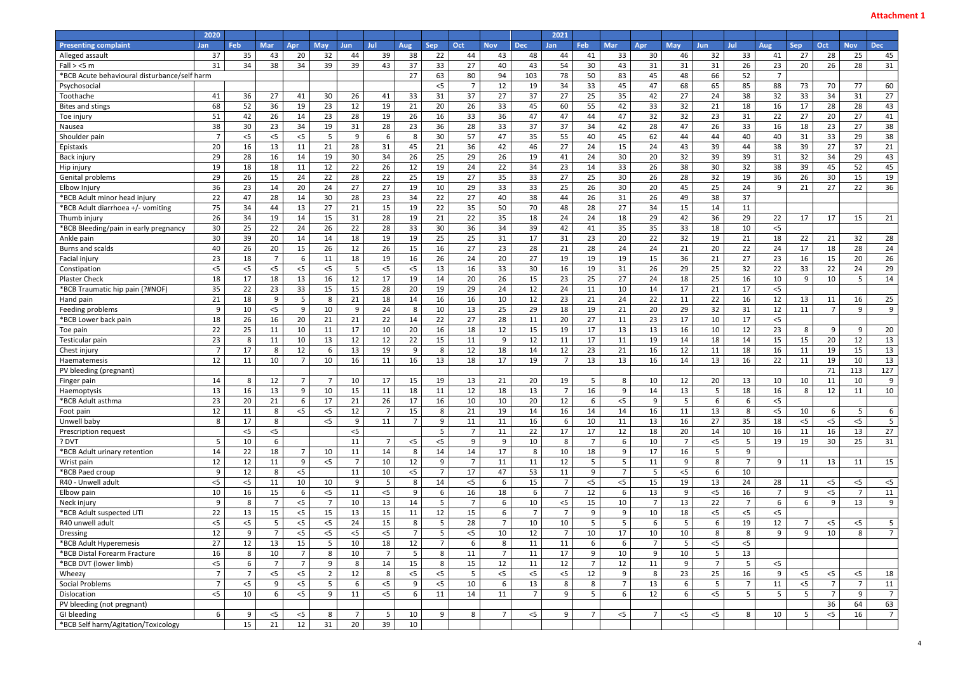|                                              | 2020            |                |                |                 |                |                |                |                |                |                |                 |                | 2021           |                |                 |                |                 |                |                |                 |                |                 |                |                |
|----------------------------------------------|-----------------|----------------|----------------|-----------------|----------------|----------------|----------------|----------------|----------------|----------------|-----------------|----------------|----------------|----------------|-----------------|----------------|-----------------|----------------|----------------|-----------------|----------------|-----------------|----------------|----------------|
| <b>Presenting complaint</b>                  | <b>Jan</b>      | Feb            | <b>Mar</b>     | Apr             | <b>May</b>     | <b>Jun</b>     | Jul            | Aug            | <b>Sep</b>     | Oct            | <b>Nov</b>      | <b>Dec</b>     | <b>Jan</b>     | Feb            | <b>Mar</b>      | <b>Apr</b>     | <b>May</b>      | <b>Jun</b>     | Jul            | Aug             | <b>Sep</b>     | Oct             | <b>Nov</b>     | <b>Dec</b>     |
| Alleged assault                              | 37              | 35             | 43             | 20              | 32             | 44             | 39             | 38             | 22             | 44             | 43              | 48             | 44             | 41             | 33              | 30             | 46              | 32             | 33             | 41              | 27             | 28              | 25             | 45             |
| Fall > <5 m                                  | 31              | 34             | 38             | 34              | 39             | 39             | 43             | 37             | 33             | 27             | 40              | 43             | 54             | 30             | 43              | 31             | 31              | 31             | 26             | 23              | 20             | 26              | 28             | 31             |
| *BCB Acute behavioural disturbance/self harm |                 |                |                |                 |                |                |                | 27             | 63             | 80             | 94              | 103            | 78             | 50             | 83              | 45             | 48              | 66             | 52             | $\overline{7}$  |                |                 |                |                |
| Psychosocial                                 |                 |                |                |                 |                |                |                |                | $<$ 5          | $\overline{7}$ | 12              | 19             | 34             | 33             | 45              | 47             | 68              | 65             | 85             | 88              | 73             | 70              | 77             | 60             |
| Toothache                                    | 41              | 36             | 27             | 41              | 30             | 26             | 41             | 33             | 31             | 37             | 27              | 37             | 27             | 25             | 35              | 42             | 27              | 24             | 38             | 32              | 33             | 34              | 31             | 27             |
| <b>Bites and stings</b>                      | 68              | 52             | 36             | 19              | 23             | 12             | 19             | 21             | 20             | 26             | 33              | 45             | 60             | 55             | 42              | 33             | 32              | 21             | 18             | 16              | 17             | 28              | 28             | 43             |
| Toe injury                                   | 51              | 42             | 26             | 14              | 23             | 28             | 19             | 26             | 16             | 33             | 36              | 47             | 47             | 44             | 47              | 32             | 32              | 23             | 31             | 22              | 27             | 20              | 27             | 41             |
| Nausea                                       | 38              | 30             | 23             | 34              | 19             | 31             | 28             | 23             | 36             | 28             | 33              | 37             | 37             | 34             | 42              | 28             | 47              | 26             | 33             | 16              | 18             | 23              | 27             | 38             |
| Shoulder pain                                | $\overline{7}$  | $<$ 5          | $<$ 5          | $<$ 5           | 5              | 9              | 6              | 8              | 30             | 57             | 47              | 35             | 55             | 40             | 45              | 62             | 44              | 44             | 40             | 40              | 31             | 33              | 29             | 38             |
| Epistaxis                                    | 20              | 16             | 13             | 11              | 21             | 28             | 31             | 45             | 21             | 36             | 42              | 46             | 27             | 24             | 15              | 24             | 43              | 39             | 44             | 38              | 39             | 27              | 37             | 21             |
| Back injury                                  | 29              | 28             | 16             | 14              | 19             | 30             | 34             | 26             | 25             | 29             | 26              | 19             | 41             | 24             | 30              | 20             | 32              | 39             | 39             | 31              | 32             | 34              | 29             | 43             |
| Hip injury                                   | 19              | 18             | 18             | 11              | 12             | 22             | 26             | 12             | 19             | 24             | 22              | 34             | 23             | 14             | 33              | 26             | 38              | 30             | 32             | 38              | 39             | 45              | 52             | 45             |
| Genital problems                             | 29              | 26             | 15             | 24              | 22             | 28             | 22             | 25             | 19             | 27             | 35              | 33             | 27             | 25             | 30              | 26             | 28              | 32             | 19             | 36              | 26             | 30              | 15             | 19             |
| Elbow Injury                                 | 36              | 23             | 14             | 20              | 24             | 27             | 27             | 19             | 10             | 29             | 33              | 33             | 25             | 26             | 30              | 20             | 45              | 25             | 24             | 9               | 21             | 27              | 22             | 36             |
| *BCB Adult minor head injury                 | 22              | 47             | 28             | 14              | 30             | 28             | 23             | 34             | 22             | 27             | 40              | 38             | 44             | 26             | 31              | 26             | 49              | 38             | 37             |                 |                |                 |                |                |
| *BCB Adult diarrhoea +/- vomiting            | 75              | 34             | 44             | 13              | 27             | 21             | 15             | 19             | 22             | 35             | 50              | 70             | 48             | 28             | 27              | 34             | 15              | 14             | 11             |                 |                |                 |                |                |
| Thumb injury                                 | 26              | 34             | 19             | 14              | 15             | 31             | 28             | 19             | 21             | 22             | 35              | 18             | 24             | 24             | 18              | 29             | 42              | 36             | 29             | 22              | 17             | 17              | 15             | 21             |
| *BCB Bleeding/pain in early pregnancy        | 30              | 25             | 22             | 24              | 26             | 22             | 28             | 33             | 30             | 36             | 34              | 39             | 42             | 41             | 35              | 35             | 33              | 18             | 10             | $<$ 5           |                |                 |                |                |
| Ankle pain                                   | 30              | 39             | 20             | 14              | 14             | 18             | 19             | 19             | 25             | 25             | 31              | 17             | 31             | 23             | 20              | 22             | 32              | 19             | 21             | 18              | 22             | 21              | 32             | 28             |
| Burns and scalds                             | 40              | 26             | 20             | 15              | 26             | 12             | 26             | 15             | 16             | 27             | 23              | 28             | 21             | 28             | 24              | 24             | 21              | 20             | 22             | 24              | 17             | 18              | 28             | 24             |
| Facial injury                                | 23              | 18             | $\overline{7}$ | 6               | 11             | 18             | 19             | 16             | 26             | 24             | 20              | 27             | 19             | 19             | 19              | 15             | 36              | 21             | 27             | 23              | 16             | 15              | 20             | 26             |
| Constipation                                 | $<$ 5           | $<$ 5          | $<$ 5          | $<$ 5           | $<$ 5          | 5              | $<$ 5          | $<$ 5          | 13             | 16             | 33              | 30             | 16             | 19             | 31              | 26             | 29              | 25             | 32             | 22              | 33             | 22              | 24             | 29             |
| Plaster Check                                | 18              | 17             | 18             | 13              | 16             | 12             | 17             | 19             | 14             | 20             | 26              | 15             | 23             | 25             | 27              | 24             | 18              | 25             | 16             | 10              | 9              | 10              | 5              | 14             |
| *BCB Traumatic hip pain (?#NOF)              | 35              | 22             | 23             | 33              | 15             | 15             | 28             | 20             | 19             | 29             | 24              | 12             | 24             | 11             | 10              | 14             | 17              | 21             | 17             | $<$ 5           |                |                 |                |                |
| Hand pain                                    | 21              | 18             | 9              | 5               | 8              | 21             | 18             | 14             | 16             | 16             | 10              | 12             | 23             | 21             | 24              | 22             | 11              | 22             | 16             | 12              | 13             | 11              | 16             | 25             |
| Feeding problems                             | 9               | 10             | $<$ 5          | 9               | 10             | 9              | 24             | 8              | 10             | 13             | 25              | 29             | 18             | 19             | 21              | 20             | 29              | 32             | 31             | 12              | 11             | $\overline{7}$  | 9              | 9              |
| *BCB Lower back pain                         | 18              | 26             | 16             | 20              | 21             | 21             | 22             | 14             | 22             | 27             | 28              | 11             | 20             | 27             | 11              | 23             | 17              | 10             | 17             | $<$ 5           |                |                 |                |                |
| Toe pain                                     | 22              | 25             | 11             | 10              | 11             | 17             | 10             | 20             | 16             | 18             | 12              | 15             | 19             | 17             | 13              | 13             | 16              | 10             | 12             | 23              | 8              | 9               | 9              | 20             |
| Testicular pain                              | 23              | 8              | 11             | 10              | 13             | 12             | 12             | 22             | 15             | 11             | 9               | $12\,$         | 11             | 17             | 11              | 19             | 14              | 18             | 14             | 15              | 15             | 20              | 12             | 13             |
| Chest injury                                 | $\overline{7}$  | 17             | -8             | 12              | 6              | 13             | 19             | 9              | 8              | 12             | 18              | 14             | 12             | 23             | 21              | 16             | 12              | 11             | 18             | 16              | 11             | 19              | 15             | 13             |
| Haematemesis                                 | 12              | 11             | 10             | $\overline{7}$  | 10             | 16             | 11             | 16             | 13             | 18             | 17              | 19             | $\overline{7}$ | 13             | 13              | 16             | 14              | 13             | 16             | 22              | 11             | 19              | 10             | 13             |
| PV bleeding (pregnant)                       |                 |                |                |                 |                |                |                |                |                |                |                 |                |                |                |                 |                |                 |                |                |                 |                | 71              | 113            | 127            |
| Finger pain                                  | 14              | 8              | 12             | $\overline{7}$  | $\overline{7}$ | 10             | 17             | 15             | 19             | 13             | 21              | 20             | 19             | 5              | 8               | 10             | 12              | 20             | 13             | 10              | 10             | 11              | 10             | 9 <sub>o</sub> |
| Haemoptysis                                  | 13              | 16             | 13             | 9               | 10             | 15             | 11             | 18             | 11             | 12             | 18              | 13             | $\overline{7}$ | 16             | 9               | 14             | 13              | 5              | 18             | 16              | 8              | 12              | 11             | 10             |
| *BCB Adult asthma                            | 23              | 20             | 21             | 6               | 17             | 21             | 26             | 17             | 16             | 10             | 10              | 20             | 12             | 6              | $<$ 5           | 9              | 5               | 6              | 6              | $<$ 5           |                |                 |                |                |
| Foot pain                                    | 12              | 11             | 8              | $<$ 5           | $<$ 5          | 12             | $\overline{7}$ | 15             | 8              | 21             | 19              | 14             | 16             | 14             | 14              | 16             | 11              | 13             | 8              | $<$ 5           | 10             | 6               | $5\phantom{.}$ | 6              |
| Unwell baby                                  | 8               | 17             | 8              |                 | $<$ 5          | 9              | 11             | $\overline{7}$ | 9              | 11             | 11              | 16             | 6              | 10             | 11              | 13             | 16              | 27             | 35             | 18              | $< 5$          | $<$ 5           | $<$ 5          | 5 <sup>1</sup> |
| Prescription request                         |                 | $<$ 5          | $<$ 5          |                 |                | $<$ 5          |                |                | 5              | $\overline{7}$ | 11              | 22             | 17             | 17             | 12              | 18             | 20              | 14             | 10             | 16              | 11             | 16              | 13             | 27             |
| ? DVT                                        | $5\overline{)}$ | 10             | 6              |                 |                | 11             | $\overline{7}$ | $<$ 5          | 5<             | 9              | 9               | 10             | 8              | $\overline{7}$ | 6               | 10             | $\overline{7}$  | $<$ 5          | $5\phantom{.}$ | 19              | 19             | 30 <sup>°</sup> | 25             | 31             |
| *BCB Adult urinary retention                 | 14              | 22             | 18             | $7\overline{ }$ | 10             | 11             | 14             | 8              | 14             | 14             | 17              | 8              | 10             | 18             | 9               | 17             | 16              | $5\phantom{.}$ | 9              |                 |                |                 |                |                |
| Wrist pain                                   | 12              | 12             | 11             | 9               | $<$ 5          | $\overline{7}$ | 10             | 12             | 9              | $\overline{7}$ | 11              | 11             | 12             | 5              | $5\phantom{.}$  | 11             | 9               | 8              | $\overline{7}$ | 9               | 11             | 13              | 11             | 15             |
| *BCB Paed croup                              | 9               | 12             | 8              | $<$ 5           |                | 11             | 10             | $<$ 5          | $\overline{7}$ | 17             | 47              | 53             | 11             | 9              | $\overline{7}$  | 5              | $<$ 5           | 6              | 10             |                 |                |                 |                |                |
| R40 - Unwell adult                           | $<$ 5           | $<$ 5          | 11             | 10              | 10             | 9              | 5              | 8              | 14             | $<$ 5          | 6               | 15             | $\overline{7}$ | $<$ 5          | $<$ 5           | 15             | 19              | 13             | 24             | 28              | 11             | $<$ 5           | $<$ 5          | $<$ 5          |
| Elbow pain                                   | 10              | 16             | 15             | 6               | $<$ 5          | 11             | $< 5$          | 9              | 6              | 16             | 18              | 6              | $\overline{7}$ | 12             | 6               | 13             | 9               | $<$ 5          | 16             | $\overline{7}$  | 9              | $<$ 5           | $\overline{7}$ | 11             |
| Neck injury                                  | 9               | 8              | $\overline{7}$ | $<$ 5           | $\overline{7}$ | 10             | 13             | 14             | 5              | $\overline{7}$ | 6               | 10             | $<$ 5          | 15             | 10              | $\overline{7}$ | 13              | 22             | $\overline{7}$ | 6               | 6              | 9               | 13             | 9 <sup>1</sup> |
| *BCB Adult suspected UTI                     | 22              | 13             | 15             | $<$ 5           | 15             | 13             | 15             | 11             | 12             | 15             | 6               | $\overline{7}$ | $\overline{7}$ | 9              | 9               | 10             | 18              | $<$ 5          | $<$ 5          | $<$ 5           |                |                 |                |                |
| R40 unwell adult                             | $< 5$           | 5<             | 5              | $<$ 5           | $<$ 5          | 24             | 15             | 8              | 5              | 28             | $\overline{7}$  | 10             | 10             | $5\phantom{.}$ | $5\overline{)}$ | 6              | $5\overline{)}$ | 6              | 19             | 12              | $\overline{7}$ | $<$ 5           | $<$ 5          | 5 <sup>1</sup> |
| Dressing                                     | 12              | 9              | $\overline{7}$ | $<$ 5           | $<$ 5          | $<$ 5          | $<$ 5          | $7^{\circ}$    | 5              | $<$ 5          | 10 <sup>°</sup> | 12             | $\overline{7}$ | 10             | 17              | 10             | 10              | 8              | 8              | 9               | 9              | 10              | 8              | 7 <sup>1</sup> |
| *BCB Adult Hyperemesis                       | 27              | 12             | 13             | 15              | $5\phantom{.}$ | 10             | 18             | 12             | $\overline{7}$ | 6              | 8               | 11             | $11\,$         | 6              | 6               | $\overline{7}$ | 5               | $<$ 5          | $<$ 5          |                 |                |                 |                |                |
| *BCB Distal Forearm Fracture                 | 16              | 8              | 10             | $7\overline{ }$ | 8              | 10             | $\overline{7}$ | 5              | 8              | 11             | $\overline{7}$  | 11             | 17             | 9              | 10              | 9              | 10              | 5              | 13             |                 |                |                 |                |                |
| *BCB DVT (lower limb)                        | $<$ 5           | 6              | $\overline{7}$ | $\overline{7}$  | 9              | 8              | 14             | 15             | 8              | 15             | 12              | 11             | 12             | $\overline{7}$ | 12              | 11             | 9               | $\overline{7}$ | $5\phantom{.}$ | $<$ 5           |                |                 |                |                |
| Wheezy                                       | $\overline{7}$  | $\overline{7}$ | $<$ 5          | $<$ 5           | $\overline{2}$ | $12\,$         | 8              | $<$ 5          | 5<             | 5              | 5<              | 5              | < 5            | 12             | 9               | 8              | 23              | 25             | 16             | 9               | $<$ 5          | $<$ 5           | $<$ 5          | 18             |
| Social Problems                              | $\overline{7}$  | $<$ 5          | 9              | $<$ 5           | 5              | 6              | $<$ 5          | 9              | $<$ 5          | 10             | 6               | 13             | 8              | 8              | $\overline{7}$  | 13             | 6               | 5              | $\overline{7}$ | 11              | < 5            | $\overline{7}$  | $\overline{7}$ | 11             |
| Dislocation                                  | $<$ 5           | 10             | 6              | $<$ 5           | 9              | 11             | $<$ 5          | 6              | 11             | 14             | 11              | $\overline{7}$ | 9              | 5              | 6               | 12             | 6               | $<$ 5          | 5              | $5\overline{)}$ | 5              | $\overline{7}$  | 9              | 7 <sup>1</sup> |
| PV bleeding (not pregnant)                   |                 |                |                |                 |                |                |                |                |                |                |                 |                |                |                |                 |                |                 |                |                |                 |                | 36              | 64             | 63             |
| GI bleeding                                  | 6               | 9              | $<$ 5          | $<$ 5           | 8              | 7              | 5              | 10             | 9              | 8              | $\overline{7}$  | $< 5$          | 9              | $\overline{7}$ | $<$ 5           | $\overline{7}$ | $<$ 5           | $< 5$          | 8              | $10\,$          | 5              | $<$ 5           | 16             | 7 <sup>1</sup> |
| *BCB Self harm/Agitation/Toxicology          |                 | 15             | 21             | 12              | 31             | 20             | 39             | 10             |                |                |                 |                |                |                |                 |                |                 |                |                |                 |                |                 |                |                |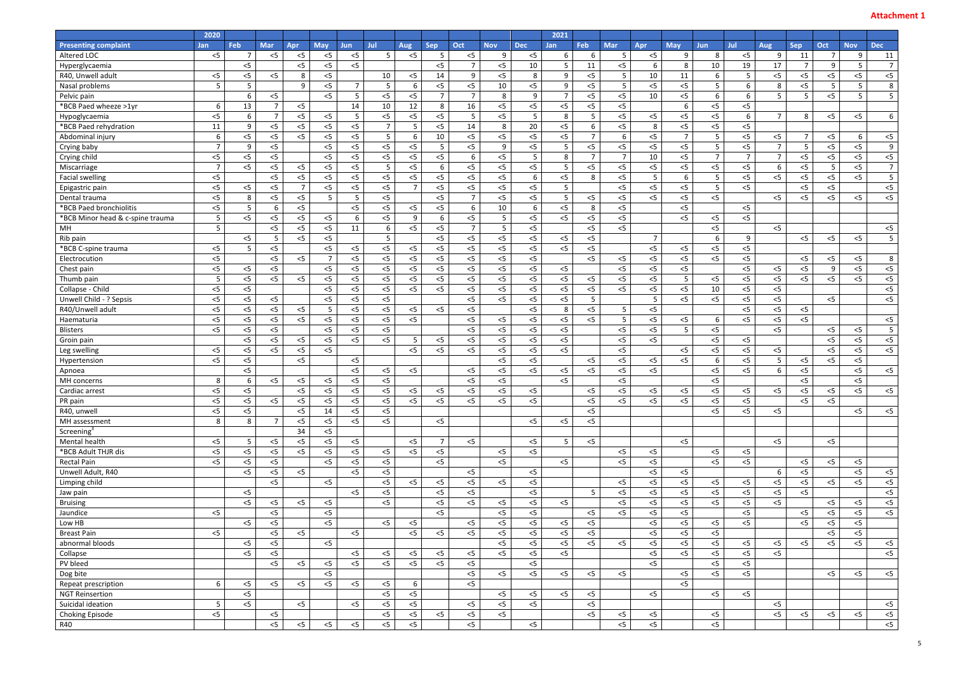|                                  | 2020            |                 |                |                |                |            |                |                |                |                |            |                | 2021           |                |                 |                 |                 |                 |                |                 |                |                |            |                |
|----------------------------------|-----------------|-----------------|----------------|----------------|----------------|------------|----------------|----------------|----------------|----------------|------------|----------------|----------------|----------------|-----------------|-----------------|-----------------|-----------------|----------------|-----------------|----------------|----------------|------------|----------------|
| <b>Presenting complaint</b>      | <b>Jan</b>      | Feb             | <b>Mar</b>     | Apr            | <b>May</b>     | <b>Jun</b> | Jul            | <b>Aug</b>     | <b>Sep</b>     | Oct            | <b>Nov</b> | <b>Dec</b>     | Jan            | Feb            | <b>Mar</b>      | <b>Apr</b>      | <b>May</b>      | <b>Jun</b>      | Jul            | Aug             | <b>Sep</b>     | Oct            | <b>Nov</b> | <b>Dec</b>     |
| Altered LOC                      | $<$ 5           | 7               | $<$ 5          | $<$ 5          | $<$ 5          | $<$ 5      | 5              | $<$ 5          | 5              | $<$ 5          | 9          | $<$ 5          | 6              | -6             | 5               | $<$ 5           | 9               | 8               | $<$ 5          | 9               | 11             | 7              | 9          | 11             |
| Hyperglycaemia                   |                 | $<$ 5           |                | $<$ 5          | $<$ 5          | $<$ 5      |                |                | $<$ 5          | $\overline{7}$ | $<$ 5      | 10             | 5              | 11             | $<$ 5           | 6               | 8               | 10              | 19             | 17              | $\overline{7}$ | 9              | 5          | $\overline{7}$ |
| R40, Unwell adult                | $<$ 5           | $<$ 5           | $<$ 5          | 8              | $<$ 5          |            | 10             | $<$ 5          | 14             | 9              | $<$ 5      | 8              | 9              | $< 5$          | $5\overline{)}$ | 10              | 11              | 6               | $5\phantom{.}$ | $<$ 5           | $<$ 5          | $<$ 5          | $<$ 5      | $<$ 5          |
| Nasal problems                   | $5\phantom{.}$  | $5\phantom{.0}$ |                | 9              | $<$ 5          | 7          | 5              | 6              | $<$ 5          | $<$ 5          | 10         | $<$ 5          | 9              | $<$ 5          | $5\phantom{.}$  | $<$ 5           | $<$ 5           | 5               | 6              | 8               | $<$ 5          | 5 <sub>1</sub> | 5          | 8 <sup>1</sup> |
| Pelvic pain                      |                 | 6               | $<$ 5          |                | $<$ 5          | 5          | $<$ 5          | $<$ 5          | $\overline{7}$ | $\overline{7}$ | 8          | $\overline{9}$ | $\overline{7}$ | $<$ 5          | $<$ 5           | 10              | $<$ 5           | 6               | 6              | $5\overline{)}$ | 5              | $<$ 5          | 5          | 5 <sup>1</sup> |
| *BCB Paed wheeze >1yr            | 6               | 13              | $\overline{7}$ | $<$ 5          |                | 14         | 10             | 12             | 8              | 16             | $<$ 5      | $<$ 5          | $<$ 5          | $< 5$          | $<$ 5           |                 | $6\overline{6}$ | $<$ 5           | $<$ 5          |                 |                |                |            |                |
| Hypoglycaemia                    | $<$ 5           | 6               | $\overline{7}$ | $<$ 5          | $<$ 5          | 5          | $<$ 5          | $<$ 5          | $<$ 5          | 5              | $<$ 5      | 5              | 8              | 5              | $<$ 5           | $<$ 5           | $<$ 5           | $<$ 5           | 6              | $\overline{7}$  | 8              | $<$ 5          | $<$ 5      | 6 <sup>1</sup> |
| *BCB Paed rehydration            | 11              | 9               | $<$ 5          | $<$ 5          | $< 5$          | $<$ 5      | $\overline{7}$ | 5              | $<$ 5          | 14             | 8          | 20             | $<$ 5          | 6              | $<$ 5           | 8               | $<$ 5           | $<$ 5           | $<$ 5          |                 |                |                |            |                |
| Abdominal injury                 | 6               | $<$ 5           | $<$ 5          | $<$ 5          | $<$ 5          | $<$ 5      | 5              | 6              | 10             | $<$ 5          | $<$ 5      | $<$ 5          | $<$ 5          | $\overline{7}$ | 6               | $<$ 5           | $\overline{7}$  | $5\overline{5}$ | $<$ 5          | $<$ 5           | $\overline{7}$ | $<$ 5          | 6          | $<$ 5          |
| Crying baby                      | $\overline{7}$  | 9               | $<$ 5          |                | $<$ 5          | $<$ 5      | $<$ 5          | $<$ 5          | 5              | $<$ 5          | 9          | $<$ 5          | 5              | $<$ 5          | $<$ 5           | $<$ 5           | $<$ 5           | 5               | $<$ 5          | $\overline{7}$  | 5              | $<$ 5          | $<$ 5      | 9              |
| Crying child                     | $< 5$           | $<$ 5           | < 5            |                | $< 5$          | $<$ 5      | $<$ 5          | $<$ 5          | $<$ 5          | 6              | $<$ 5      | 5              | 8              | $\overline{7}$ | $\overline{7}$  | 10              | $<$ 5           | $\overline{7}$  | $\overline{7}$ | $\overline{7}$  | $<$ 5          | $<$ 5          | $<$ 5      | $<$ 5          |
| Miscarriage                      | $\overline{7}$  | $<$ 5           | $<$ 5          | $<$ 5          | $< 5$          | $<$ 5      | 5              | $<$ 5          | 6              | $<$ 5          | $<$ 5      | $<$ 5          | 5              | $<$ 5          | $< 5$           | $<$ 5           | $<$ 5           | $<$ 5           | $<$ 5          | 6               | < 5            | 5              | $< 5$      | 7 <sup>1</sup> |
| <b>Facial swelling</b>           | $<$ 5           |                 | $<$ 5          | $<$ 5          | $<$ 5          | $<$ 5      | $<$ 5          | $<$ 5          | $<$ 5          | $<$ 5          | $<$ 5      | 6              | $<$ 5          | 8              | $<$ 5           | $5\overline{)}$ | 6               | $5\overline{)}$ | $<$ 5          | 5<              | $<$ 5          | $<$ 5          | $<$ 5      | 5 <sup>1</sup> |
| Epigastric pain                  | $< 5$           | $<$ 5           | $<$ 5          | $\overline{7}$ | $< 5$          | $<$ 5      | $<$ 5          | $\overline{7}$ | $<$ 5          | $<$ 5          | $<$ 5      | $< 5$          | 5              |                | $<$ 5           | $<$ 5           | $<$ 5           | 5               | $<$ 5          |                 | $<$ 5          | $<$ 5          |            | $<$ 5          |
| Dental trauma                    | $<$ 5           | 8               | $<$ 5          | $<$ 5          | 5              | -5         | $<$ 5          |                | $<$ 5          | $\overline{7}$ | $<$ 5      | $<$ 5          | 5              | $<$ 5          | $<$ 5           | $<$ 5           | $<$ 5           | $<$ 5           |                | $<$ 5           | $<$ 5          | $<$ 5          | $<$ 5      | $<$ 5          |
| *BCB Paed bronchiolitis          | $< 5$           | 5               | -6             | $<$ 5          |                | $<$ 5      | $<$ 5          | $<$ 5          | $<$ 5          | 6              | 10         | 6              | $<$ 5          | -8             | $<$ 5           |                 | $<$ 5           |                 | $<$ 5          |                 |                |                |            |                |
| *BCB Minor head & c-spine trauma | $5\overline{)}$ | $<$ 5           | $<$ 5          | $<$ 5          | $< 5$          | 6          | $<$ 5          | 9              | 6              | $<$ 5          | .5         | 5              | $<$ 5          | $< 5$          | $<$ 5           |                 | $<$ 5           | $< 5$           | $<$ 5          |                 |                |                |            |                |
| MH                               | $5\overline{)}$ |                 | $<$ 5          | $<$ 5          | $<$ 5          | 11         | 6              | $<$ 5          | $<$ 5          | $\overline{7}$ | 5          | $<$ 5          |                | $<$ 5          | $<$ 5           |                 |                 | $<$ 5           |                | $<$ 5           |                |                |            | $<$ 5          |
| Rib pain                         |                 | $<$ 5           | 5              | $<$ 5          | $<$ 5          |            | 5              |                | $<$ 5          | $<$ 5          | $<$ 5      | < 5            | $<$ 5          | $< 5$          |                 | $\overline{7}$  |                 | 6               | 9              |                 | $<$ 5          | $< 5$          | $<$ 5      | $\overline{5}$ |
| *BCB C-spine trauma              | $<$ 5           | -5              | $<$ 5          |                | $<$ 5          | $<$ 5      | $<$ 5          | $<$ 5          | $<$ 5          | $<$ 5          | $<$ 5      | $< 5$          | $<$ 5          | $<$ 5          |                 | $<$ 5           | $<$ 5           | $<$ 5           | $<$ 5          |                 |                |                |            |                |
| Electrocution                    | $< 5$           |                 | $<$ 5          | $<$ 5          | $\overline{7}$ | $<$ 5      | $< 5$          | $<$ 5          | $<$ 5          | $<$ 5          | $<$ 5      | < 5            |                | $<$ 5          | $<$ 5           | $<$ 5           | $<$ 5           | $< 5$           | $< 5$          |                 | $< 5$          | $<$ 5          | $<$ 5      | 8 <sup>1</sup> |
| Chest pain                       | $<$ 5           | $<$ 5           | $<$ 5          |                | $<$ 5          | $<$ 5      | $<$ 5          | $<$ 5          | $<$ 5          | $<$ 5          | $<$ 5      | $<$ 5          | $<$ 5          |                | $<$ 5           | $<$ 5           | $<$ 5           |                 | $<$ 5          | $<$ 5           | $<$ 5          | 9              | $<$ 5      | $<$ 5          |
| Thumb pain                       | $5\phantom{.0}$ | 5<              | $<$ 5          | $<$ 5          | $< 5$          | $<$ 5      | $<$ 5          | $<$ 5          | $<$ 5          | $<$ 5          | $<$ 5      | < 5            | $<$ 5          | $< 5$          | $< 5$           | $<$ 5           | 5               | $<$ 5           | $<$ 5          | $<$ 5           | $<$ 5          | $<$ 5          | $<$ 5      | < 5            |
| Collapse - Child                 | $<$ 5           | $<$ 5           |                |                | $<$ 5          | $<$ 5      | $<$ 5          | $<$ 5          | 5<             | $<$ 5          | $<$ 5      | $<$ 5          | $<$ 5          | $<$ 5          | $<$ 5           | $<$ 5           | $<$ 5           | 10              | $<$ 5          | $<$ 5           |                |                |            | $<$ 5          |
| Unwell Child - ? Sepsis          | $< 5$           | $<$ 5           | $<$ 5          |                | $< 5$          | $<$ 5      | $<$ 5          |                |                | $<$ 5          | $<$ 5      | < 5            | $<$ 5          | 5              |                 | $5\phantom{.0}$ | $<$ 5           | $< 5$           | $<$ 5          | $<$ 5           |                | $<$ 5          |            | $<$ 5          |
| R40/Unwell adult                 | $<$ 5           | $<$ 5           | $<$ 5          | $<$ 5          | 5              | $<$ 5      | $<$ 5          | $<$ 5          | $<$ 5          | $<$ 5          |            | $<$ 5          | 8              | $<$ 5          | 5 <sup>5</sup>  | $<$ 5           |                 |                 | $<$ 5          | $<$ 5           | $<$ 5          |                |            |                |
| Haematuria                       | $<$ 5           | $\overline{5}$  | $<$ 5          | $<$ 5          | $<$ 5          | $<$ 5      | $<$ 5          | $<$ 5          |                | $<$ 5          | $<$ 5      | $<$ 5          | $<$ 5          | $<$ 5          | $5\phantom{.}$  | $<$ 5           | $<$ 5           | 6               | $<$ 5          | $<$ 5           | $<$ 5          |                |            | $<$ 5          |
| <b>Blisters</b>                  | $<$ 5           | $<$ 5           | $<$ 5          |                | $<$ 5          | $<$ 5      | $<$ 5          |                |                | $<$ 5          | $<$ 5      | $< 5$          | $<$ 5          |                | $<$ 5           | $<$ 5           | $5\phantom{.}$  | $<$ 5           |                | $<$ 5           |                | $<$ 5          | $<$ 5      | 5 <sup>1</sup> |
| Groin pain                       |                 | $<$ 5           | $<$ 5          | $<$ 5          | $<$ 5          | $<$ 5      | $<$ 5          | 5              | $<$ 5          | $<$ 5          | $<$ 5      | $<$ 5          | $<$ 5          |                | $<$ 5           | $<$ 5           |                 | $<$ 5           | $<$ 5          |                 |                | $<$ 5          | $<$ 5      | $<$ 5          |
| Leg swelling                     | $<$ 5           | $<$ 5           | $<$ 5          | $<$ 5          | $<$ 5          |            |                | $<$ 5          | $<$ 5          | $<$ 5          | $<$ 5      | < 5            | $<$ 5          |                | $<$ 5           |                 | $<$ 5           | $<$ 5           | $<$ 5          | $<$ 5           |                | $<$ 5          | $<$ 5      | $<$ 5          |
| Hypertension                     | $<$ 5           | $<$ 5           |                | $<$ 5          |                | $<$ 5      |                |                |                |                | $<$ 5      | $<$ 5          |                | $<$ 5          | $<$ 5           | $<$ 5           | $<$ 5           | 6               | $<$ 5          | $5\phantom{.}$  | $<$ 5          | $<$ 5          | $<$ 5      |                |
| Apnoea                           |                 | $<$ 5           |                |                |                | $<$ 5      | $<$ 5          | $<$ 5          |                | $<$ 5          | $<$ 5      | $<$ 5          | $<$ 5          | $<$ 5          | $<$ 5           | $<$ 5           |                 | $<$ 5           | $<$ 5          | 6               | $< 5$          |                | $<$ 5      | $<$ 5          |
| MH concerns                      | 8               | 6               | $<$ 5          | $<$ 5          | $< 5$          | $<$ 5      | $<$ 5          |                |                | $<$ 5          | $<$ 5      |                | $<$ 5          |                | $<$ 5           |                 |                 | $<$ 5           |                |                 | $<$ 5          |                | $<$ 5      |                |
| Cardiac arrest                   | $<$ 5           | $<$ 5           |                | $<$ 5          | $<$ 5          | $<$ 5      | $<$ 5          | $<$ 5          | $<$ 5          | $<$ 5          | $<$ 5      | $<$ 5          |                | $<$ 5          | $<$ 5           | $<$ 5           | $<$ 5           | $<$ 5           | $<$ 5          | $<$ 5           | $<$ 5          | $<$ 5          | $<$ 5      | $<$ 5          |
| PR pain                          | $<$ 5           | $<$ 5           | $<$ 5          | $<$ 5          | $<$ 5          | $<$ 5      | $<$ 5          | $<$ 5          | $<$ 5          | $<$ 5          | $<$ 5      | $<$ 5          |                | $<$ 5          | $<$ 5           | $<$ 5           | $<$ 5           | $<$ 5           | $<$ 5          |                 | $<$ 5          | $<$ 5          |            |                |
| R40, unwell                      | $<$ 5           | $<$ 5           |                | $<$ 5          | 14             | $<$ 5      | $<$ 5          |                |                |                |            |                |                | $<$ 5          |                 |                 |                 | $<$ 5           | $<$ 5          | $<$ 5           |                |                | $<$ 5      | $<$ 5          |
| MH assessment                    | 8               | 8               | $\overline{7}$ | $<$ 5          | $<$ 5          | $<$ 5      | $<$ 5          |                | $<$ 5          |                |            | $< 5$          | $<$ 5          | $<$ 5          |                 |                 |                 |                 |                |                 |                |                |            |                |
| Screening <sup>3</sup>           |                 |                 |                | 34             | $<$ 5          |            |                |                |                |                |            |                |                |                |                 |                 |                 |                 |                |                 |                |                |            |                |
| Mental health                    | $<$ 5           | $5\phantom{.0}$ | $<$ 5          | $<$ 5          | $<$ 5          | $<$ 5      |                | $<$ 5          | $\overline{7}$ | $<$ 5          |            | $< 5$          | 5              | $<$ 5          |                 |                 | $<$ 5           |                 |                | $<$ 5           |                | $<$ 5          |            |                |
| *BCB Adult THJR dis              | $<$ 5           | $<$ 5           | $<$ 5          | $<$ 5          | $<$ 5          | $<$ 5      | $<$ 5          | $<$ 5          | $<$ 5          |                | $<$ 5      | $<$ 5          |                |                | $<$ 5           | $<$ 5           |                 | $<$ 5           | $<$ 5          |                 |                |                |            |                |
| <b>Rectal Pain</b>               | $<$ 5           | $<$ 5           | $<$ 5          |                | $<$ 5          | $<$ 5      | $<$ 5          |                | $<$ 5          |                | $<$ 5      |                | $<$ 5          |                | $<$ 5           | $<$ 5           |                 | $<$ 5           | $<$ 5          |                 | $<$ 5          | $<$ 5          | $<$ 5      |                |
| Unwell Adult, R40                |                 | $<$ 5           | $<$ 5          | $<$ 5          |                | $<$ 5      | $<$ 5          |                |                | $<$ 5          |            | $< 5$          |                |                |                 | $<$ 5           | $<$ 5           |                 |                | $6\overline{6}$ | $<$ 5          |                | $<$ 5      | $<$ 5          |
| Limping child                    |                 |                 | $<$ 5          |                | $<$ 5          |            | $<$ 5          | $<$ 5          | $<$ 5          | $<$ 5          | $<$ 5      | $< 5$          |                |                | $<$ 5           | $<$ 5           | $<$ 5           | $<$ 5           | $<$ 5          | $<$ 5           | $<$ 5          | $<$ 5          | $<$ 5      | $<$ 5          |
| Jaw pain                         |                 | $<$ 5           |                |                |                | $<$ 5      | $< 5$          |                | $<$ 5          | $<$ 5          |            | $<$ 5          |                | 5              | $<$ 5           | $<$ 5           | $<$ 5           | $<$ 5           | $<$ 5          | $<$ 5           | $<$ 5          |                |            | $<$ 5          |
| <b>Bruising</b>                  |                 | $<$ 5           | $<$ 5          | $<$ 5          | $<$ 5          |            | $<$ 5          |                | $<$ 5          | $<$ 5          | $<$ 5      | $<$ 5          | $<$ 5          |                | $<$ 5           | $<$ 5           | $<$ 5           | $<$ 5           | $<$ 5          | $<$ 5           |                | $<$ 5          | $<$ 5      | $<$ 5          |
| Jaundice                         | $<$ 5           |                 | < 5            |                | $<$ 5          |            |                |                | $<$ 5          |                | $<$ 5      | $<$ 5          |                | $<$ 5          | $<$ 5           | $<$ 5           | $<$ 5           |                 | $<$ 5          |                 | $<$ 5          | $<$ 5          | $<$ 5      | < 5            |
| Low HB                           |                 | $<$ 5           | $<$ 5          |                | $<$ 5          |            | $<$ 5          | $<$ 5          |                | $<$ 5          | $<$ 5      | $<$ 5          | $<$ 5          | $<$ 5          |                 | $<$ 5           | $<$ 5           | $<$ 5           | $<$ 5          |                 | $<$ 5          | $<$ 5          | $<$ 5      |                |
| <b>Breast Pain</b>               | $<$ 5           |                 | $<$ 5          | $<$ 5          |                | $<$ 5      |                | $<$ 5          | $<$ 5          | $<$ 5          | $<$ 5      | < 5            | $<$ 5          | $<$ 5          |                 | $<$ 5           | $<$ 5           | $<$ 5           |                |                 |                | $<$ 5          | $<$ 5      |                |
| abnormal bloods                  |                 | $<$ 5           | $<$ 5          |                | $<$ 5          |            |                |                |                |                | $<$ 5      | $<$ 5          | $<$ 5          | $<$ 5          | $<$ 5           | $<$ 5           | $<$ 5           | $<$ 5           | $<$ 5          | $<$ 5           | $<$ 5          | $<$ 5          | $<$ 5      | < 5            |
| Collapse                         |                 | $<$ 5           | $<$ 5          |                |                | $<$ 5      | $<$ 5          | $<$ 5          | $<$ 5          | $<$ 5          | $<$ 5      | $<$ 5          | $<$ 5          |                |                 | $<$ 5           | $<$ 5           | $<$ 5           | $<$ 5          | $<$ 5           |                |                |            | < 5            |
| PV bleed                         |                 |                 | $<$ 5          | $<$ 5          | $<$ 5          | $<$ 5      | $<$ 5          | $<$ 5          | $<$ 5          | $<$ 5          |            | $<$ 5          |                |                |                 | $<$ 5           |                 | $<$ 5           | $<$ 5          |                 |                |                |            |                |
| Dog bite                         |                 |                 |                |                | $<$ 5          |            |                |                |                | $<$ 5          | $<$ 5      | $<$ 5          | $<$ 5          | $<$ 5          | $<$ 5           |                 | $<$ 5           | $<$ 5           | $<$ 5          |                 |                | $<$ 5          | $<$ 5      | $<$ 5          |
| Repeat prescription              | 6               | $<$ 5           | $<$ 5          | $<$ 5          | $<$ 5          | $<$ 5      | $<$ 5          | 6              |                | $<$ 5          |            |                |                |                |                 |                 | $<$ 5           |                 |                |                 |                |                |            |                |
| <b>NGT Reinsertion</b>           |                 | $<$ 5           |                |                |                |            | $<$ 5          | $<$ 5          |                |                | $<$ 5      | $<$ 5          | $<$ 5          | $<$ 5          |                 | $<$ 5           |                 | $<$ 5           | $<$ 5          |                 |                |                |            |                |
| Suicidal ideation                | $5\phantom{.0}$ | $<$ 5           |                | $<$ 5          |                | $<$ 5      | $<$ 5          | $<$ 5          |                | $<$ 5          | $<$ 5      | $<$ 5          |                | $<$ 5          |                 |                 |                 |                 |                | $<$ 5           |                |                |            | $<$ 5          |
| Choking Episode                  | $<$ 5           |                 | $<$ 5          |                |                |            | $<$ 5          | $<$ 5          | $<$ 5          | $<$ 5          | $<$ 5      |                |                | $<$ 5          | $<$ 5           | $<$ 5           |                 | $<$ 5           |                | $<$ 5           | $<$ 5          | $<$ 5          | $<$ 5      | < 5            |
| <b>R40</b>                       |                 |                 | $<$ 5          | $<$ 5          | $<$ 5          | $<$ 5      | $<$ 5          | $<$ 5          |                | $<$ 5          |            | $<$ 5          |                |                | $<$ 5           | $<$ 5           |                 | $<$ 5           |                |                 |                |                |            | < 5            |
|                                  |                 |                 |                |                |                |            |                |                |                |                |            |                |                |                |                 |                 |                 |                 |                |                 |                |                |            |                |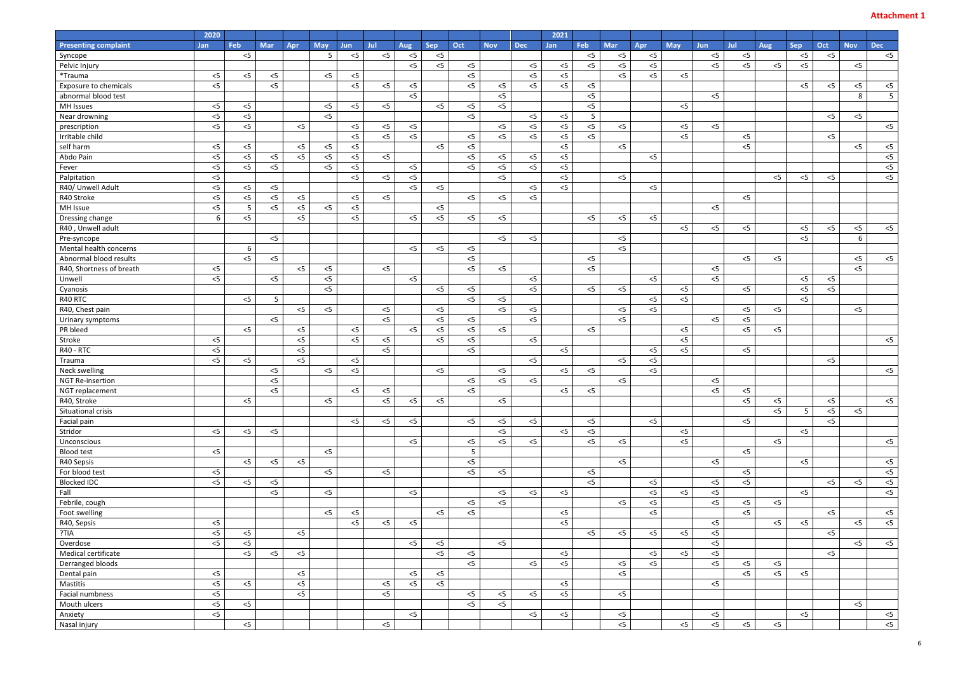|                                            | 2020              |                |                |                |            |            |                |       |                |                 |                |            | 2021           |                |                |                |            |                |                |                |            |       |            |                |
|--------------------------------------------|-------------------|----------------|----------------|----------------|------------|------------|----------------|-------|----------------|-----------------|----------------|------------|----------------|----------------|----------------|----------------|------------|----------------|----------------|----------------|------------|-------|------------|----------------|
| <b>Presenting complaint</b>                | Jan               | Feb            | <b>Mar</b>     | Apr            | <b>May</b> | <b>Jun</b> | Jul            | Aug   | <b>Sep</b>     | Oct             | <b>Nov</b>     | <b>Dec</b> | <b>Jan</b>     | Feb            | <b>Mar</b>     | <b>Apr</b>     | <b>May</b> | Jun.           | Jul            | Aug            | <b>Sep</b> | Oct   | <b>Nov</b> | <b>Dec</b>     |
| Syncope                                    |                   | $<$ 5          |                |                | 5          | $<$ 5      | $<$ 5          | $<$ 5 | $<$ 5          |                 |                |            |                | $<$ 5          | $<$ 5          | $<$ 5          |            | $<$ 5          | $<$ 5          |                | $<$ 5      | $<$ 5 |            | $<$ 5          |
| Pelvic Injury                              |                   |                |                |                |            |            |                | $<$ 5 | $<$ 5          | $<$ 5           |                | $<$ 5      | $<$ 5          | $<$ 5          | $<$ 5          | $<$ 5          |            | < 5            | $<$ 5          | $<$ 5          | $<$ 5      |       | $<$ 5      |                |
| *Trauma                                    | $<$ 5             | $<$ 5          | $< 5$          |                | $<$ 5      | $<$ 5      |                |       |                | $<$ 5           |                | $<$ 5      | $<$ 5          |                | $<$ 5          | $<$ 5          | $<$ 5      |                |                |                |            |       |            |                |
| Exposure to chemicals                      | $<$ 5             |                | $<$ 5          |                |            | $<$ 5      | $<$ 5          | $<$ 5 |                | $<$ 5           | $<$ 5          | $<$ 5      | $<$ 5          | $<$ 5          |                |                |            |                |                |                | $<$ 5      | $<$ 5 | $< 5$      | $<$ 5          |
| abnormal blood test                        |                   |                |                |                |            |            |                | $<$ 5 |                |                 | $<$ 5          |            |                | $< 5$          |                |                |            | $<$ 5          |                |                |            |       | 8          | $\overline{5}$ |
| MH Issues                                  | $<$ 5             | $<$ 5          |                |                | $<$ 5      | $<$ 5      | $<$ 5          |       | $<$ 5          | $<$ 5           | $<$ 5          |            |                | $< 5$          |                |                | $<$ 5      |                |                |                |            |       |            |                |
| Near drowning                              | $<$ 5             | $<$ 5          |                |                | $<$ 5      |            |                |       |                | $<$ 5           |                | $<$ 5      | $<$ 5          | 5              |                |                |            |                |                |                |            | $<$ 5 | $<$ 5      |                |
| prescription                               | $<$ 5             | $<$ 5          |                | $<$ 5          |            | $<$ 5      | $<$ 5          | $<$ 5 |                |                 | $<$ 5          | $< 5$      | $<$ 5          | $< 5$          | $<$ 5          |                | $<$ 5      | $<$ 5          |                |                |            |       |            | $<$ 5          |
| Irritable child                            |                   |                |                |                |            | $<$ 5      | $<$ 5          | $<$ 5 |                | $<$ 5           | $<$ 5          | $<$ 5      | $<$ 5          | $<$ 5          |                |                | $<$ 5      |                | $<$ 5          |                |            | $<$ 5 |            |                |
| self harm                                  | $<$ 5             | $<$ 5          |                | $<$ 5          | $<$ 5      | $<$ 5      |                |       | $<$ 5          | $<$ 5           |                |            | $<$ 5          |                | $<$ 5          |                |            |                | $<$ 5          |                |            |       | $<$ 5      | $<$ 5          |
| Abdo Pain                                  | $<$ 5             | $<$ 5          | $< 5$          | $<$ 5          | $< 5$      | $<$ 5      | $<$ 5          |       |                | $<$ 5           | $<$ 5          | $<$ 5      | $<$ 5          |                |                | $<$ 5          |            |                |                |                |            |       |            | $<$ 5          |
| Fever                                      | $<$ 5             | $<$ 5          | $<$ 5          |                | $<$ 5      | $<$ 5      |                | $<$ 5 |                | $<$ 5           | $<$ 5          | $<$ 5      | $<$ 5          |                |                |                |            |                |                |                |            |       |            | $<$ 5          |
| Palpitation                                | $<$ 5             |                |                |                |            | $<$ 5      | $<$ 5          | $<$ 5 |                |                 | $<$ 5          |            | $<$ 5          |                | $< 5$          |                |            |                |                | $<$ 5          | $<$ 5      | $<$ 5 |            | $<$ 5          |
| R40/ Unwell Adult                          | $<$ 5             | $<$ 5          | $< 5$          |                |            |            |                | $<$ 5 | $<$ 5          |                 |                | $<$ 5      | $<$ 5          |                |                | $<$ 5          |            |                |                |                |            |       |            |                |
| R40 Stroke                                 | $<$ 5             | $<$ 5          | $< 5$          | $<$ 5          |            | $<$ 5      | $<$ 5          |       |                | $<$ 5           | $<$ 5          | $<$ 5      |                |                |                |                |            |                | $<$ 5          |                |            |       |            |                |
| MH Issue                                   | $<$ 5             | $5^{\circ}$    | $<$ 5          | $<$ 5          | $<$ 5      | $<$ 5      |                |       | $<$ 5          |                 |                |            |                |                |                |                |            | $<$ 5          |                |                |            |       |            |                |
| Dressing change                            | 6                 | $<$ 5          |                | $<$ 5          |            | $<$ 5      |                | $<$ 5 | $<$ 5          | $<$ 5           | $<$ 5          |            |                | $<$ 5          | $<$ 5          | $<$ 5          |            |                |                |                |            |       |            |                |
| R40, Unwell adult                          |                   |                |                |                |            |            |                |       |                |                 |                |            |                |                |                |                | $<$ 5      | $<$ 5          | $<$ 5          |                | $<$ 5      | $<$ 5 | $< 5$      | $<$ 5          |
|                                            |                   |                | $<$ 5          |                |            |            |                |       |                |                 | $<$ 5          | $<$ 5      |                |                | $<$ 5          |                |            |                |                |                | $<$ 5      |       | 6          |                |
| Pre-syncope<br>Mental health concerns      |                   |                |                |                |            |            |                | $<$ 5 | $<$ 5          |                 |                |            |                |                | $<$ 5          |                |            |                |                |                |            |       |            |                |
| Abnormal blood results                     |                   | 6              |                |                |            |            |                |       |                | $<$ 5           |                |            |                |                |                |                |            |                |                |                |            |       |            |                |
|                                            |                   | $<$ 5          | $<$ 5          |                |            |            |                |       |                | $<$ 5           |                |            |                | $<$ 5          |                |                |            |                | $<$ 5          | $<$ 5          |            |       | $<$ 5      | $<$ 5          |
| R40, Shortness of breath                   | $<$ 5             |                |                | $<$ 5          | $<$ 5      |            | $<$ 5          |       |                | $<$ 5           | $<$ 5          |            |                | $< 5$          |                |                |            | $<$ 5          |                |                |            |       | < 5        |                |
| Unwell                                     | $<$ 5             |                | $<$ 5          |                | $<$ 5      |            |                | $<$ 5 |                |                 |                | $< 5$      |                |                |                | $<$ 5          |            | $<$ 5          |                |                | $<$ 5      | $<$ 5 |            |                |
| Cyanosis                                   |                   |                |                |                | $<$ 5      |            |                |       | $<$ 5          | $<$ 5           |                | $<$ 5      |                | $<$ 5          | $<$ 5          |                | $<$ 5      |                | $<$ 5          |                | $<$ 5      | $<$ 5 |            |                |
| R40 RTC                                    |                   | $<$ 5          | -5             |                |            |            |                |       |                | $<$ 5           | $<$ 5          |            |                |                |                | $<$ 5          | $<$ 5      |                |                |                | $<$ 5      |       |            |                |
| R40, Chest pain                            |                   |                |                | $<$ 5          | $<$ 5      |            | $<$ 5          |       | $<$ 5          |                 | $<$ 5          | $< 5$      |                |                | $<$ 5          | $<$ 5          |            |                | $<$ 5          | $<$ 5          |            |       | $<$ 5      |                |
| Urinary symptoms                           |                   |                | $<$ 5          |                |            |            | $<$ 5          | $<$ 5 | $<$ 5          | $<$ 5           |                | $< 5$      |                |                | $<$ 5          |                |            | $<$ 5          | $<$ 5          |                |            |       |            |                |
| PR bleed                                   |                   | $<$ 5          |                | $<$ 5          |            | $<$ 5      |                |       | $<$ 5<br>$<$ 5 | $<$ 5           | $<$ 5          |            |                | $<$ 5          |                |                | $<$ 5      |                | $<$ 5          | $<$ 5          |            |       |            |                |
| Stroke<br><b>R40 - RTC</b>                 | $<$ 5             |                |                | $<$ 5          |            | $<$ 5      | $<$ 5<br>$<$ 5 |       |                | $<$ 5           |                | $<$ 5      |                |                |                |                | $<$ 5      |                |                |                |            |       |            | $<$ 5          |
|                                            | $<$ 5<br>$<$ 5    |                |                | $<$ 5<br>$<$ 5 |            |            |                |       |                | $<$ 5           |                |            | $<$ 5          |                |                | $<$ 5<br>$<$ 5 | $<$ 5      |                | $<$ 5          |                |            |       |            |                |
| Trauma                                     |                   | $<$ 5          |                |                |            | $<$ 5      |                |       |                |                 |                | $< 5$      |                |                | $<$ 5          | $<$ 5          |            |                |                |                |            | $<$ 5 |            |                |
| Neck swelling                              |                   |                | $<$ 5<br>$<$ 5 |                | $<$ 5      | $<$ 5      |                |       | $<$ 5          |                 | $<$ 5          |            | $<$ 5          | $<$ 5          | $<$ 5          |                |            |                |                |                |            |       |            | $<$ 5          |
| <b>NGT Re-insertion</b><br>NGT replacement |                   |                | $<$ 5          |                |            |            |                |       |                | $<$ 5<br>$<$ 5  | $<$ 5          | $<$ 5      |                |                |                |                |            | $<$ 5<br>$<$ 5 | $<$ 5          |                |            |       |            |                |
| R40, Stroke                                |                   | $<$ 5          |                |                | $<$ 5      | $<$ 5      | $<$ 5<br>5     | $<$ 5 | $<$ 5          |                 | $<$ 5          |            | $<$ 5          | $<$ 5          |                |                |            |                | $\overline{5}$ | $<$ 5          |            | $<$ 5 |            | $<$ 5          |
| Situational crisis                         |                   |                |                |                |            |            |                |       |                |                 |                |            |                |                |                |                |            |                |                | $\overline{5}$ | 5          | $<$ 5 | $<$ 5      |                |
| Facial pain                                |                   |                |                |                |            | $<$ 5      | $<$ 5          | $<$ 5 |                | $<$ 5           | $<$ 5          | $<$ 5      |                | $<$ 5          |                | $<$ 5          |            |                | $<$ 5          |                |            | $<$ 5 |            |                |
| Stridor                                    | $<$ 5             | $<$ 5          | $<$ 5          |                |            |            |                |       |                |                 | $<$ 5          |            | $<$ 5          | $<$ 5          |                |                | $<$ 5      |                |                |                | $<$ 5      |       |            |                |
| Unconscious                                |                   |                |                |                |            |            |                | $<$ 5 |                | $<$ 5           | $<$ 5          | $<$ 5      |                | $<$ 5          | $<$ 5          |                | $<$ 5      |                |                | $<$ 5          |            |       |            | $<$ 5          |
| <b>Blood test</b>                          | $<$ 5             |                |                |                | $<$ 5      |            |                |       |                | $5\phantom{.0}$ |                |            |                |                |                |                |            |                | $<$ 5          |                |            |       |            |                |
| R40 Sepsis                                 |                   | $<$ 5          | $<$ 5          | $<$ 5          |            |            |                |       |                | $<$ 5           |                |            |                |                | $<$ 5          |                |            | $<$ 5          |                |                | $<$ 5      |       |            | $<$ 5          |
|                                            | $<$ 5             |                |                |                | $<$ 5      |            | $<$ 5          |       |                | $<$ 5           |                |            |                |                |                |                |            |                | $<$ 5          |                |            |       |            | < 5            |
| For blood test<br><b>Blocked IDC</b>       | $<$ 5             | $<$ 5          | $<$ 5          |                |            |            |                |       |                |                 | $<$ 5          |            |                | $<$ 5<br>$<$ 5 |                | $<$ 5          |            | $<$ 5          | $<$ 5          |                |            | $<$ 5 | $<$ 5      | < 5            |
|                                            |                   |                | $<$ 5          |                | $<$ 5      |            |                | $<$ 5 |                |                 |                | $<$ 5      | $<$ 5          |                |                | $<$ 5          | $<$ 5      | $<$ 5          |                |                | $<$ 5      |       |            | < 5            |
| Fall                                       |                   |                |                |                |            |            |                |       |                |                 | $<$ 5<br>$<$ 5 |            |                |                | $<$ 5          | $<$ 5          |            | $<$ 5          | $<$ 5          | $<$ 5          |            |       |            |                |
| Febrile, cough                             |                   |                |                |                |            | $<$ 5      |                |       | $<$ 5          | $<$ 5<br>$<$ 5  |                |            |                |                |                | $<$ 5          |            |                | $<$ 5          |                |            | $<$ 5 |            | < 5            |
| Foot swelling                              | $<$ 5             |                |                |                | $<$ 5      | $<$ 5      | $<$ 5          | $<$ 5 |                |                 |                |            | $<$ 5<br>$<$ 5 |                |                |                |            | $<$ 5          |                | $<$ 5          | $<$ 5      |       | $<$ 5      | $\leq$         |
| R40, Sepsis                                | $<$ 5             | $<$ 5          |                | $<$ 5          |            |            |                |       |                |                 |                |            |                | $<$ 5          | $<$ 5          | $<$ 5          | $<$ 5      | $<$ 5          |                |                |            | $<$ 5 |            |                |
| ?TIA                                       |                   |                |                |                |            |            |                |       |                |                 |                |            |                |                |                |                |            |                |                |                |            |       |            |                |
| Overdose<br>Medical certificate            | $<$ 5             | $<$ 5<br>$<$ 5 | $<$ 5          | $<$ 5          |            |            |                | $<$ 5 | $<$ 5<br>$<$ 5 | $<$ 5           | $<$ 5          |            | $<$ 5          |                |                | $<$ 5          | $<$ 5      | $<$ 5<br>$<$ 5 |                |                |            | $<$ 5 | $<$ 5      | < 5            |
|                                            |                   |                |                |                |            |            |                |       |                |                 |                |            |                |                |                |                |            |                |                |                |            |       |            |                |
| Derranged bloods                           |                   |                |                |                |            |            |                |       |                | $<$ 5           |                | $<$ 5      | $<$ 5          |                | $<$ 5<br>$<$ 5 | $<$ 5          |            | $<$ 5          | $<$ 5<br>$<$ 5 | $<$ 5          |            |       |            |                |
| Dental pain                                | $<$ 5             |                |                | $<$ 5          |            |            |                | $<$ 5 | $<$ 5          |                 |                |            |                |                |                |                |            |                |                | $<$ 5          | $<$ 5      |       |            |                |
| Mastitis                                   | $<$ 5             | $<$ 5          |                | $<$ 5          |            |            | $< 5$          | $<$ 5 | $<$ 5          |                 |                |            | $<$ 5          |                |                |                |            | $<$ 5          |                |                |            |       |            |                |
| Facial numbness                            | $<$ 5             |                |                | $<$ 5          |            |            | $<$ 5          |       |                | $<$ 5           | $<$ 5          | $<$ 5      | $<$ 5          |                | $<$ 5          |                |            |                |                |                |            |       |            |                |
| Mouth ulcers                               | $<$ 5             | $<$ 5          |                |                |            |            |                |       |                | $<$ 5           | $<$ 5          |            |                |                |                |                |            |                |                |                |            |       | $<$ 5      |                |
| Anxiety                                    | $\overline{\leq}$ |                |                |                |            |            |                | $<$ 5 |                |                 |                | $< 5$      | $<$ 5          |                | $<$ 5          |                |            | $<$ 5          |                |                | $< 5$      |       |            | < 5            |
| Nasal injury                               |                   | $<$ 5          |                |                |            |            | $<$ 5          |       |                |                 |                |            |                |                | $<$ 5          |                | $<$ 5      | $<$ 5          | $<$ 5          | $<$ 5          |            |       |            | < 5            |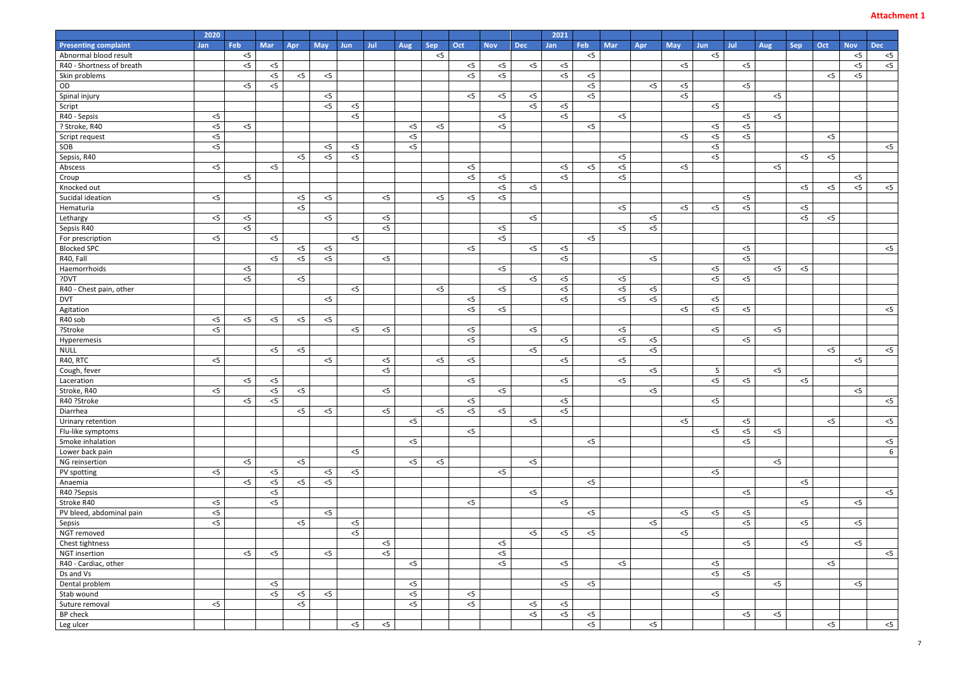| 2020                               |       |       |       |       |            |       |       |            |       |            |            | 2021       |       |       |       |            |            |                |                |            |       |            |                |
|------------------------------------|-------|-------|-------|-------|------------|-------|-------|------------|-------|------------|------------|------------|-------|-------|-------|------------|------------|----------------|----------------|------------|-------|------------|----------------|
| <b>Presenting complaint</b><br>Jan | Feb   | Mar   | Apr   | May   | <b>Jun</b> | Jul   | Aug   | <b>Sep</b> | Oct   | <b>Nov</b> | <b>Dec</b> | <b>Jan</b> | Feb   | Mar   | Apr   | <b>May</b> | <b>Jun</b> | Jul            | Aug            | <b>Sep</b> | Oct   | <b>Nov</b> | <b>Dec</b>     |
| Abnormal blood result              | $<$ 5 |       |       |       |            |       |       | $<$ 5      |       |            |            |            | $<$ 5 |       |       |            | $<$ 5      |                |                |            |       | $<$ 5      | $<$ 5          |
| R40 - Shortness of breath          | $<$ 5 | $<$ 5 |       |       |            |       |       |            | $<$ 5 | $<$ 5      | $<$ 5      | $<$ 5      |       |       |       | $<$ 5      |            | $<$ 5          |                |            |       | $<$ 5      | < 5            |
| Skin problems                      |       | $<$ 5 | $<$ 5 | $<$ 5 |            |       |       |            | $<$ 5 | $<$ 5      |            | $<$ 5      | $<$ 5 |       |       |            |            |                |                |            | $<$ 5 | $<$ 5      |                |
| OD                                 | $<$ 5 | $<$ 5 |       |       |            |       |       |            |       |            |            |            | $<$ 5 |       | $<$ 5 | $<$ 5      |            | $<$ 5          |                |            |       |            |                |
| Spinal injury                      |       |       |       | $<$ 5 |            |       |       |            | $<$ 5 | $<$ 5      | $<$ 5      |            | $<$ 5 |       |       | $<$ 5      |            |                | $<$ 5          |            |       |            |                |
| Script                             |       |       |       | $<$ 5 | $<$ 5      |       |       |            |       |            | 5<         | $<$ 5      |       |       |       |            | $<$ 5      |                |                |            |       |            |                |
| $<$ 5<br>R40 - Sepsis              |       |       |       |       | $<$ 5      |       |       |            |       | $<$ 5      |            | $<$ 5      |       | $<$ 5 |       |            |            | $<$ 5          | $<$ 5          |            |       |            |                |
| $<$ 5<br>? Stroke, R40             | $<$ 5 |       |       |       |            |       | $<$ 5 | $<$ 5      |       | $<$ 5      |            |            | $<$ 5 |       |       |            | $<$ 5      | $<$ 5          |                |            |       |            |                |
| $<$ 5<br>Script request            |       |       |       |       |            |       | $<$ 5 |            |       |            |            |            |       |       |       | $<$ 5      | $<$ 5      | $<$ 5          |                |            | $<$ 5 |            |                |
| SOB<br>$<$ 5                       |       |       |       | $<$ 5 | $<$ 5      |       | $<$ 5 |            |       |            |            |            |       |       |       |            | $<$ 5      |                |                |            |       |            | $<$ 5          |
| Sepsis, R40                        |       |       | $<$ 5 | $<$ 5 | $<$ 5      |       |       |            |       |            |            |            |       | $<$ 5 |       |            | $<$ 5      |                |                | $< 5$      | $<$ 5 |            |                |
| $<$ 5<br>Abscess                   |       | $<$ 5 |       |       |            |       |       |            | $<$ 5 |            |            | $<$ 5      | $<$ 5 | $<$ 5 |       | $<$ 5      |            |                | $<$ 5          |            |       |            |                |
| Croup                              | $<$ 5 |       |       |       |            |       |       |            | $<$ 5 | $<$ 5      |            | $<$ 5      |       | $<$ 5 |       |            |            |                |                |            |       | $<$ 5      |                |
| Knocked out                        |       |       |       |       |            |       |       |            |       | $<$ 5      | $<$ 5      |            |       |       |       |            |            |                |                | $<$ 5      | $<$ 5 | $<$ 5      | $<$ 5          |
| Sucidal ideation<br>$<$ 5          |       |       | $<$ 5 | $<$ 5 |            | $< 5$ |       | $<$ 5      | $<$ 5 | $<$ 5      |            |            |       |       |       |            |            | $<$ 5          |                |            |       |            |                |
| Hematuria                          |       |       | $<$ 5 |       |            |       |       |            |       |            |            |            |       | $<$ 5 |       | $<$ 5      | $<$ 5      | $<$ 5          |                | $< 5$      |       |            |                |
| $<$ 5<br>Lethargy                  | $<$ 5 |       |       | $<$ 5 |            | $< 5$ |       |            |       |            | $<$ 5      |            |       |       | $<$ 5 |            |            |                |                | $<$ 5      | $<$ 5 |            |                |
| Sepsis R40                         | $<$ 5 |       |       |       |            | $<$ 5 |       |            |       | $<$ 5      |            |            |       | $<$ 5 | $<$ 5 |            |            |                |                |            |       |            |                |
| $<$ 5<br>For prescription          |       | $<$ 5 |       |       | $<$ 5      |       |       |            |       | $<$ 5      |            |            | $<$ 5 |       |       |            |            |                |                |            |       |            |                |
| <b>Blocked SPC</b>                 |       |       | $<$ 5 | $<$ 5 |            |       |       |            | $<$ 5 |            | $<$ 5      | $<$ 5      |       |       |       |            |            | $<$ 5          |                |            |       |            | $<$ 5          |
| R40, Fall                          |       | $<$ 5 | $<$ 5 | $<$ 5 |            | $<$ 5 |       |            |       |            |            | $<$ 5      |       |       | $<$ 5 |            |            | $\overline{5}$ |                |            |       |            |                |
| Haemorrhoids                       | $<$ 5 |       |       |       |            |       |       |            |       | $<$ 5      |            |            |       |       |       |            | $<$ 5      |                | $<$ 5          | $<$ 5      |       |            |                |
| ?DVT                               | 5<    |       | $<$ 5 |       |            |       |       |            |       |            | $<$ 5      | $<$ 5      |       | $<$ 5 |       |            | $< 5$      | $<$ 5          |                |            |       |            |                |
| R40 - Chest pain, other            |       |       |       |       | $<$ 5      |       |       | $<$ 5      |       | $<$ 5      |            | $<$ 5      |       | $<$ 5 | $<$ 5 |            |            |                |                |            |       |            |                |
| <b>DVT</b>                         |       |       |       | $<$ 5 |            |       |       |            | $<$ 5 |            |            | $<$ 5      |       | $<$ 5 | $<$ 5 |            | $<$ 5      |                |                |            |       |            |                |
| Agitation                          |       |       |       |       |            |       |       |            | $<$ 5 | $<$ 5      |            |            |       |       |       | $<$ 5      | $<$ 5      | $<$ 5          |                |            |       |            | $<$ 5          |
| $<$ 5<br>R40 sob                   | $<$ 5 | $<$ 5 | $<$ 5 | $<$ 5 |            |       |       |            |       |            |            |            |       |       |       |            |            |                |                |            |       |            |                |
| $<$ 5<br>?Stroke                   |       |       |       |       | $<$ 5      | $<$ 5 |       |            | $<$ 5 |            | $<$ 5      |            |       | $<$ 5 |       |            | $<$ 5      |                | $<$ 5          |            |       |            |                |
| Hyperemesis                        |       |       |       |       |            |       |       |            | $<$ 5 |            |            | $<$ 5      |       | $<$ 5 | $<$ 5 |            |            | $<$ 5          |                |            |       |            |                |
| <b>NULL</b>                        |       | $< 5$ | $<$ 5 |       |            |       |       |            |       |            | $<$ 5      |            |       |       | $<$ 5 |            |            |                |                |            | $<$ 5 |            | < 5            |
| $<$ 5<br>R40, RTC                  |       |       |       | $<$ 5 |            | $<$ 5 |       | $<$ 5      | $<$ 5 |            |            | $<$ 5      |       | $<$ 5 |       |            |            |                |                |            |       | $<$ 5      |                |
| Cough, fever                       |       |       |       |       |            | $<$ 5 |       |            |       |            |            |            |       |       | $<$ 5 |            | 5          |                | $\overline{5}$ |            |       |            |                |
| Laceration                         | $<$ 5 | $< 5$ |       |       |            |       |       |            | $<$ 5 |            |            | $<$ 5      |       | $<$ 5 |       |            | $< 5$      | $<$ 5          |                | $<$ 5      |       |            |                |
| Stroke, R40<br>$<$ 5               |       | $<$ 5 | $<$ 5 |       |            | $<$ 5 |       |            |       | $<$ 5      |            |            |       |       | $<$ 5 |            |            |                |                |            |       | $<$ 5      |                |
| R40 ?Stroke                        | $<$ 5 | $<$ 5 |       |       |            |       |       |            | $<$ 5 |            |            | $<$ 5      |       |       |       |            | $<$ 5      |                |                |            |       |            | $<$ 5          |
| Diarrhea                           |       |       | $<$ 5 | $<$ 5 |            | $<$ 5 |       | $<$ 5      | $<$ 5 | $<$ 5      |            | $<$ 5      |       |       |       |            |            |                |                |            |       |            |                |
| Urinary retention                  |       |       |       |       |            |       | $<$ 5 |            |       |            | $<$ 5      |            |       |       |       | $<$ 5      |            | $<$ 5          |                |            | $<$ 5 |            | $<$ 5          |
| Flu-like symptoms                  |       |       |       |       |            |       |       |            | $<$ 5 |            |            |            |       |       |       |            | $<$ 5      | $<$ 5          | $<$ 5          |            |       |            |                |
| Smoke inhalation                   |       |       |       |       |            |       | $<$ 5 |            |       |            |            |            | $<$ 5 |       |       |            |            | $<$ 5          |                |            |       |            | < 5            |
| Lower back pain                    |       |       |       |       | $<$ 5      |       |       |            |       |            |            |            |       |       |       |            |            |                |                |            |       |            | 6 <sup>1</sup> |
| NG reinsertion                     | $<$ 5 |       | $<$ 5 |       |            |       | $<$ 5 | $<$ 5      |       |            | $< 5$      |            |       |       |       |            |            |                | $<$ 5          |            |       |            |                |
| $<$ 5<br>PV spotting               |       | $<$ 5 |       | $<$ 5 | $<$ 5      |       |       |            |       | $<$ 5      |            |            |       |       |       |            | $<$ 5      |                |                |            |       |            |                |
| Anaemia                            | $<$ 5 | $<$ 5 | $<$ 5 | $<$ 5 |            |       |       |            |       |            |            |            | $<$ 5 |       |       |            |            |                |                | $< 5$      |       |            |                |
| R40 ?Sepsis                        |       | $<$ 5 |       |       |            |       |       |            |       |            | $<$ 5      |            |       |       |       |            |            | $<$ 5          |                |            |       |            | $<$ 5          |
| $<$ 5<br>Stroke R40                |       | $<$ 5 |       |       |            |       |       |            | $<$ 5 |            |            | $<$ 5      |       |       |       |            |            |                |                | $< 5$      |       | $<$ 5      |                |
| $<$ 5<br>PV bleed, abdominal pain  |       |       |       | $<$ 5 |            |       |       |            |       |            |            |            | $<$ 5 |       |       | $<$ 5      | $<$ 5      | $<$ 5          |                |            |       |            |                |
| $<$ 5<br>Sepsis                    |       |       | $<$ 5 |       | $<$ 5      |       |       |            |       |            |            |            |       |       | $<$ 5 |            |            | $<$ 5          |                | $< 5$      |       | $<$ 5      |                |
| NGT removed                        |       |       |       |       | $<$ 5      |       |       |            |       |            | $<$ 5      | $<$ 5      | $<$ 5 |       |       | $<$ 5      |            |                |                |            |       |            |                |
| Chest tightness                    |       |       |       |       |            | $<$ 5 |       |            |       | $<$ 5      |            |            |       |       |       |            |            | $<$ 5          |                | $<$ 5      |       | $<$ 5      |                |
| <b>NGT</b> insertion               | $<$ 5 | $<$ 5 |       | $<$ 5 |            | $<$ 5 |       |            |       | $<$ 5      |            |            |       |       |       |            |            |                |                |            |       |            | < 5            |
| R40 - Cardiac, other               |       |       |       |       |            |       | $<$ 5 |            |       | $<$ 5      |            | $<$ 5      |       | $<$ 5 |       |            | $<$ 5      |                |                |            | $<$ 5 |            |                |
| Ds and Vs                          |       |       |       |       |            |       |       |            |       |            |            |            |       |       |       |            | $<$ 5      | $<$ 5          |                |            |       |            |                |
| Dental problem                     |       | $<$ 5 |       |       |            |       | $<$ 5 |            |       |            |            | $<$ 5      | $<$ 5 |       |       |            |            |                | $<$ 5          |            |       | $<$ 5      |                |
|                                    |       | $<$ 5 |       |       |            |       | $<$ 5 |            |       |            |            |            |       |       |       |            |            |                |                |            |       |            |                |
| Stab wound                         |       |       | $<$ 5 | $<$ 5 |            |       |       |            | $<$ 5 |            |            |            |       |       |       |            | $<$ 5      |                |                |            |       |            |                |
| Suture removal<br>$<$ 5            |       |       | $<$ 5 |       |            |       | $<$ 5 |            | $<$ 5 |            | $<$ 5<br>5 | $<$ 5      |       |       |       |            |            |                |                |            |       |            |                |
| BP check                           |       |       |       |       |            |       |       |            |       |            |            | $<$ 5      | $<$ 5 |       |       |            |            | $<$ 5          | $<$ 5          |            |       |            |                |
| Leg ulcer                          |       |       |       |       | $<$ 5      | $<$ 5 |       |            |       |            |            |            | $<$ 5 |       | $<$ 5 |            |            |                |                |            | $<$ 5 |            | < 5            |